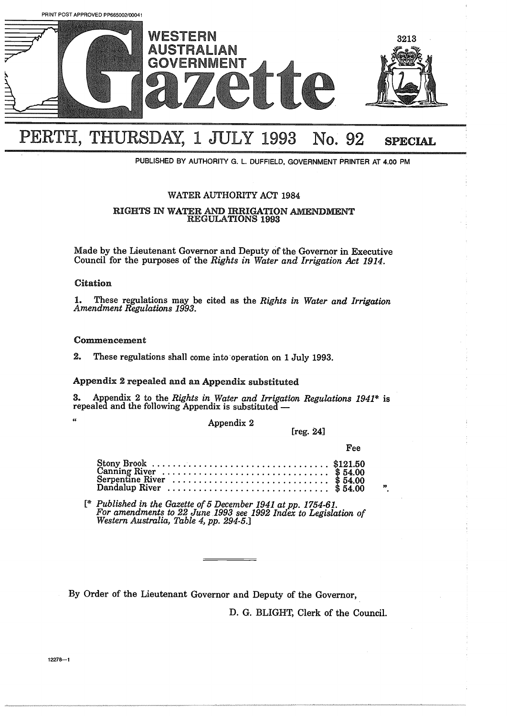

# PERTH, THURSDAY, 1 JULY 1993 No. 92 SPECIAL

**PUBLISHED BY AUTHORITY G. L. DUFFIELD, GOVERNMENT PRINTER AT** 4.00 PM

# WATER AUTHORITY ACT 1984

# RIGHTS IN WATER AND IRRIGATION AMENDMENT REGULATIONS 1993

Made by the Lieutenant Governor and Deputy of the Governor in Executive Council for the purposes of the *Rights in Water and Irrigation Act 1914.*

# Citation

 $\alpha$ 

1. These regulations may be cited as the *Rights in Water and Irrigation Amendment Regulations 1993.*

# Commencement

*2,* These regulations shall come into operation on 1 July 1993.

# Appendix *<sup>2</sup>* repealed and an Appendix substituted

3. Appendix 2 to the *Rights in Water and Irrigation Regulations 1941\** is repealed and the following Appendix is substituted -

Appendix 2

[reg. 24]

 $\boldsymbol{\mathfrak{p}}$ 

|                                                                                                                                                                                                                                                           |  |  |  |  |  |  |  |  |  |  |  |  |  |  |  | Fee |
|-----------------------------------------------------------------------------------------------------------------------------------------------------------------------------------------------------------------------------------------------------------|--|--|--|--|--|--|--|--|--|--|--|--|--|--|--|-----|
| Stony Brook<br>Canning River<br>Canning River<br>Canning River<br>Canning River<br>Canning River<br>Canning River<br>Canning River<br>Canning River<br>Canning River<br>Canning River<br>Canning State & 54.00<br>State & 54.00<br>State & 54.00<br>State |  |  |  |  |  |  |  |  |  |  |  |  |  |  |  |     |

**[\*** *Published in the Gazette of <sup>5</sup> December <sup>1941</sup> at pp. 1754-61. For amendments to 22 June 1993 see 1992 Index to Legislation of Western Australia, Table* 4, *pp. 294-5.]*

By Order of the Lieutenant Governor and Deputy of the Governor,

D. G. BLIGHT, Clerk of the Council.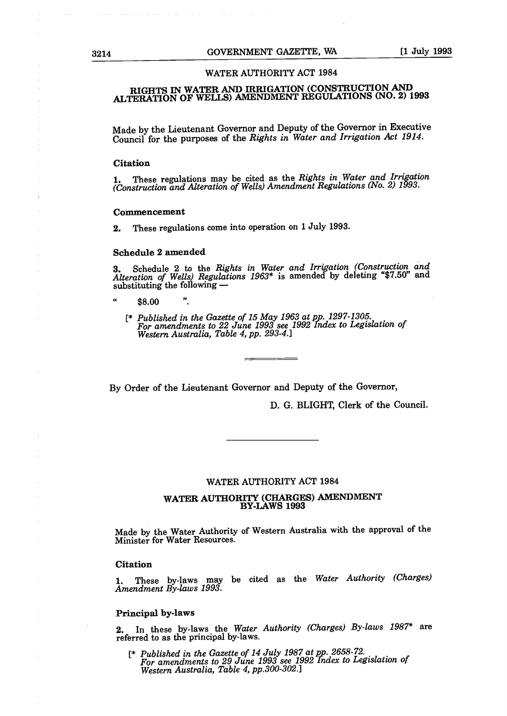#### WATER AUTHORITY ACT 1984

# RIGHTS IN WATER AND IRRIGATION CONSTRUCTION AND ALTERATION OF WELLS) AMENDMENT REGULATIONS (NO. 2) 1993

Made by the Lieutenant Governor and Deputy of the Governor in Executive Council for the purposes of the *Rights in Water and Irrigation Act 1914.*

#### **Citation**

**1.** These regulations may be cited as the *Rights in Water and Irrigation*<br>Construction and Alteration of Wells) Amendment Regulations (No. 2) 1993.

#### Commencement

2. These regulations come into operation on <sup>1</sup> July 1993.

#### Schedule 2 amended

3. Schedule 2 to the *Rights in Water and Irrigation Construction and Alteration of Wells Regulations 1963\** is amended by deleting "\$7.50" and substituting the following -

- $\alpha$ \$8.00
	- **[\*** *Published in the Gazette of <sup>15</sup> May 1963 at pp. 1297-1305. For amendments to 22 June 1993 see 1992 Index to Legislation of Western Australia, Table 4, pp. 293-4.]*

By Order of the Lieutenant Governor and Deputy of the Governor,

D. G. BLIGHT, Clerk of the Council.

#### WATER AUTHORITY ACT 1984

# WATER AUTHORITY (CHARGES) AMENDMENT BY-LAWS 1993

Made by the Water Authority of Western Australia with the approval of the Minister for Water Resources.

## Citation

1. These by-laws may be cited as the *Water Authority Charges Amendment By-laws 1993.*

#### Principal by-laws

2. In these by-laws the *Water Authority Charges By-laws 1987\** are referred to as the principal by-laws.

**[\*** *Published in the Gazette of <sup>14</sup> July 1987 at pp. 2658-72. For amendments to 29 June 1993 see 1992 Index to Legislation of Western Australia, Table 4, pp.300-302.]*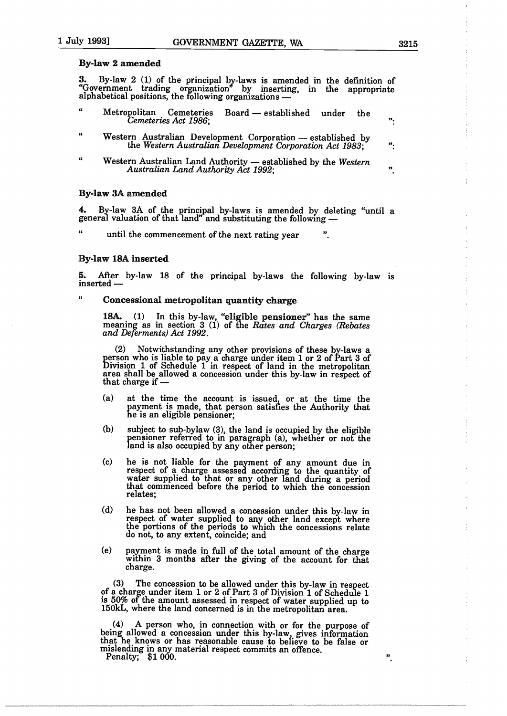#### By-law 2 amended

 $3.$  By-law 2 (1) of the principal by-laws is amended in the definition of "Government trading organization" by inserting, in the appropriat alphabetical positions, the following organizations -

- Metropolitan Cemeteries Board established under the *Cemeteries Act 1986;*
- $\epsilon$ Western Australian Development Corporation - established by the *Western Australian Development Corporation Act 1983;* ":
- $\alpha$ Western Australian Land Authority - established by the Western *Australian Land Authority Act 1992;*

#### By-law 3A amended

4. By-law 3A of the principal by-laws is amended by deleting "until a general valuation of that land" and substituting the following

until the commencement of the next rating year

# By-law 18A inserted

 $\epsilon$ 

5. After by-law <sup>18</sup> of the principal by-laws the following by-law is inserted  $-$ 

#### Concessional metropolitan quantity charge

18A.  $(1)$  In this by-law, "eligible pensioner" has the same meaning as in section 3 (1) of the *Rates* and *Charges (Rebates and Deferments Act 1992.*

2 Notwithstanding any other provisions of these by-laws a person who is liable to pay a charge under item <sup>1</sup> or 2 of Part <sup>3</sup> of Division <sup>1</sup> of Schedule <sup>1</sup> in respect of land in the metropolitan area shall be allowed a concession under this by-law in respect of that charge if  $-$ 

- $(a)$  at the time the account is issued, or at the time the payment is made, that person satisfies the Authority that he is an eligible pensioner;
- $\lambda$  subject to sub-bylaw  $(3)$ , the land is occupied by the eligible pensioner referred to in paragraph (a), whether or not the land is also occupied by any other person;
- c he is not liable for the payment of any amount due in respect of a charge assessed according to the quantity of water supplied to that or any other land during a period that commenced before the period to which the concession relates;
- (d) he has not been allowed a concession under this by-law in respect of water supplied to any other land except where the portions of the periods to which the concessions relate do not, to any extent, coincide; and
- (e) payment is made in full of the total amount of the charge within <sup>3</sup> months after the giving of the account for that charge.

3 The concession to be allowed under this by-law in respect of a charge under item <sup>1</sup> or 2 of Part <sup>3</sup> of Division <sup>1</sup> of Schedule <sup>1</sup> is 50% of the amount assessed in respect of water supplied up to l5OkL, where the land concerned is in the metropolitan area.

4 <sup>A</sup> person who, in connection with or for the purpose of being allowed a concession under this by-law, gives information that he knows or has reasonable cause to be'ieve to be false or misleading in any material respect commits an offence.

Penalty; \$1 000.

99,

33

 $\mathbf{v}$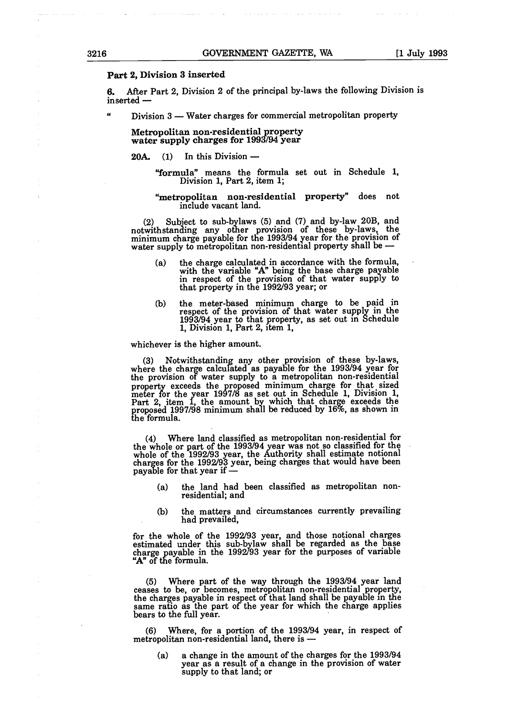# Part 2, Division 3 inserted

6. After Part 2, Division <sup>2</sup> of the principal by-laws the following Division is inserted -

Division 3 - Water charges for commercial metropolitan property

Metropolitan non-residential property water supply charges for 1993/94 year

 $20A.$  (1) In this Division -

"formula" means the formula set out in Schedule 1, Division 1, Part 2, item 1;

"metropolitan non-residential property" does not include vacant land.

(2) Subject to sub-bylaws (5) and (7) and by-law 20B, and notwithstanding any other provision of these by-laws, the minimum charge payable for the 1993/94 year for the provision of water supply to metropolitan non-residential property shall be -

- (a) the charge calculated in accordance with the formula, with the variable "A" being the base charge payable in respect of the provision of that water supply to that property in the 1992/93 year; or
- b the meter-based minimum charge to be paid in respect of the provision of that water supply in the 1993/94 year to that property, as set out in Schedule 1, Division 1, Part 2, item 1,

whichever is the higher amount.

3 Notwithstanding any other provision of these by-laws, where the charge calculated as payable for the 1993/94 year for the provision of water supply to a metropolitan non-residential property exceeds the proposed minimum charge for that sized meter for the year 1997/8 as set out in Schedule 1, Division 1, Part 2, item 1, the amount by which that charge exceeds the proposed 1997/98 minimum shall be reduced by 16%, as shown in the formula.

4 Where land classified as metropolitan non-residential for the whole or part of the 1993/94 year was not so classified for the whole of the 1992/93 year, the Authority shall estimate notional charges for the 1992/93 year, being charges that would have been payable for that year if  $-$ 

- (a) the land had been classified as metropolitan nonresidential; and
- (b) the matters and circumstances currently prevailing<br>had prevailed,

for the whole of the 1992/93 year, and those notional charges estimated under this sub-bylaw shall be regarded as the base charge payable in the 1992/93 year for the purposes of variable "A" of the formula.

5 Where part of the way through the 1993/94 year land ceases to be, or becomes, metropolitan non-residential property, the charges payable in respect of that land shall be payable in the same ratio as the part of the year for which the charge applie bears to the full year.

6 Where, for a portion of the 1993/94 year, in respect of metropolitan non-residential land, there is -

(a) a change in the amount of the charges for the 1993/94 year as a result of a change in the provision of water supply to that land; or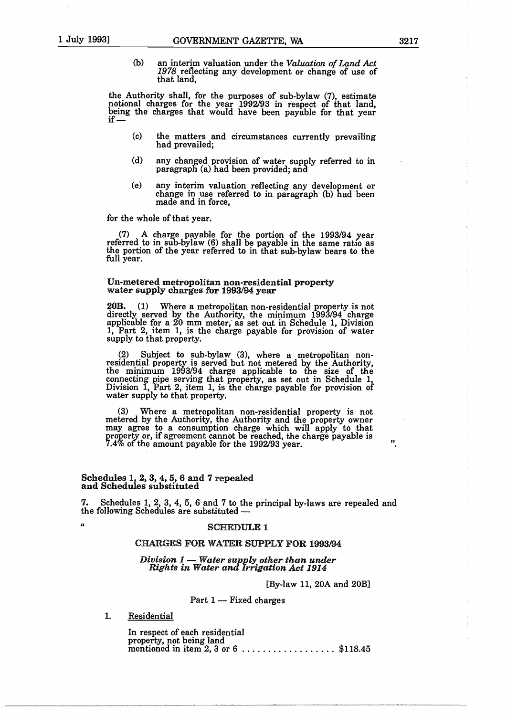b an interim valuation under the *Valuation of Land Act 1978* reflecting any development or change of use of that land,

the Authority shall, for the purposes of sub-bylaw (7), estimate notional charges for the year 1992/93 in respect of that land, being the charges that would have been payable for that year

- (c) the matters and circumstances currently prevailing had prevailed;
- (d) any changed provision of water supply referred to in paragraph (a) had been provided; and
- (e) any interim valuation reflecting any development or change in use referred to in paragraph (b) had been made and in force,

for the whole of that year.

7 <sup>A</sup> charge payable for the portion of the 1993/94 year referred to in sub-bylaw  $(6)$  shall be payable in the same ratio as the portion of the year referred to in that sub-bylaw bears to the full year.

# Un-metered metropolitan non-residential property water supply charges for 1993/94 year

20B. (1) Where a metropolitan non-residential property is not directly served by the Authority, the minimum 1993/94 charge applicable for a 20 mm meter, as set out in Schedule 1, Division 1, Part 2, item 1, is the charge payable for provision of water supply to that property.

2 Subject to sub-bylaw 3, where a metropolitan non residential property is served but not metered by the Authority, the minimum 1993/94 charge applicable to the size of the connecting pipe serving that property, as set out in Schedule 1, Division 1, Part 2, item 1, is the charge payable for provision of water supply to that property

3 Where a metropolitan non-residential property is not metered by the Authority, the Authority and the property owner may agree to a consumption charge which will apply to that property or, if agreement cannot be reached, the charge payable is 7.4% of the amount payable for the 1992/93 year.

# $\bf S$ chedules  $1,\,2,\,3,\,4,\,5,\,6$  and  $\bf 7$  repealed and Schedules substituted

7. Schedules 1, 2, 3, 4, 5, 6 and 7 to the principal by-laws are repealed and the following Schedules are substituted -

# " SCHEDULE 1

# CHARGES FOR WATER SUPPLY FOR 1993/94

# *Division 1- Water supply other than under Rights in Water and Irrigation Act 1914*

[By-law 11, 20A and 20B]

# Part  $1$  - Fixed charges

1. Residential

In respect of each residential property, not being land mentioned in item 2, 3 or  $6 \ldots \ldots \ldots \ldots$  \$118.45 Ħ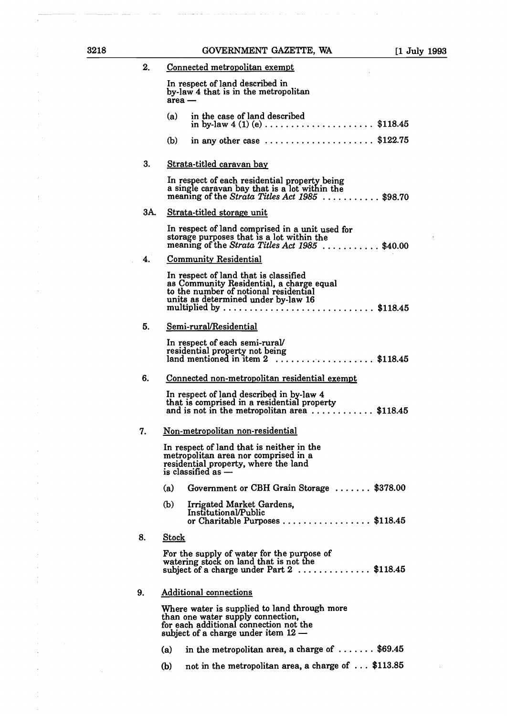| 3218 |     | GOVERNMENT GAZETTE, WA                                                                                                                                                                                                                                | $[1$ July 1993 |
|------|-----|-------------------------------------------------------------------------------------------------------------------------------------------------------------------------------------------------------------------------------------------------------|----------------|
|      | 2.  | Connected metropolitan exempt                                                                                                                                                                                                                         |                |
|      |     | In respect of land described in<br>by-law 4 that is in the metropolitan<br>$area -$                                                                                                                                                                   |                |
|      |     | in the case of land described<br>(a)<br>in by-law $4 (1) (e) \ldots \ldots \ldots \ldots \ldots \ldots$ \$118.45                                                                                                                                      |                |
|      |     | in any other case $\dots\dots\dots\dots\dots\dots$ . \$122.75<br>(b)                                                                                                                                                                                  |                |
|      | З.  | Strata-titled caravan bay                                                                                                                                                                                                                             |                |
|      |     | In respect of each residential property being<br>a single caravan bay that is a lot within the<br>meaning of the Strata Titles Act $1985$ \$98.70                                                                                                     |                |
|      | 3A. | Strata-titled storage unit                                                                                                                                                                                                                            |                |
|      |     | In respect of land comprised in a unit used for<br>storage purposes that is a lot within the<br>meaning of the Strata Titles Act $1985$ \$40.00                                                                                                       |                |
|      | 4.  | <b>Community Residential</b>                                                                                                                                                                                                                          |                |
|      |     | In respect of land that is classified<br>as Community Residential, a charge equal<br>to the number of notional residential<br>units as determined under by-law 16<br>multiplied by $\dots \dots \dots \dots \dots \dots \dots \dots \dots \$ \$118.45 |                |
|      | 5.  | Semi-rural/Residential                                                                                                                                                                                                                                |                |
|      |     | In respect of each semi-rural/<br>residential property not being<br>land mentioned in item $2$ \$118.45                                                                                                                                               |                |
|      | 6.  | Connected non-metropolitan residential exempt                                                                                                                                                                                                         |                |
|      |     | In respect of land described in by-law 4<br>that is comprised in a residential property<br>and is not in the metropolitan area \$118.45                                                                                                               |                |
|      | 7.  | Non-metropolitan non-residential                                                                                                                                                                                                                      |                |
|      |     | In respect of land that is neither in the<br>metropolitan area nor comprised in a<br>residential property, where the land<br>is classified as $-$                                                                                                     |                |
|      |     | (a)<br>Government or CBH Grain Storage  \$378.00                                                                                                                                                                                                      |                |
|      |     | (b)<br>Irrigated Market Gardens,<br>Institutional/Public<br>or Charitable Purposes \$118.45                                                                                                                                                           |                |
|      | 8.  | <b>Stock</b>                                                                                                                                                                                                                                          |                |
|      |     | For the supply of water for the purpose of<br>watering stock on land that is not the<br>subject of a charge under Part 2 \$118.45                                                                                                                     |                |
|      | 9.  | <b>Additional connections</b>                                                                                                                                                                                                                         |                |
|      |     | Where water is supplied to land through more<br>than one water supply connection,<br>for each additional connection not the<br>subject of a charge under item $12 -$                                                                                  |                |
|      |     | in the metropolitan area, a charge of $\dots \dots$ \$69.45<br>(a)                                                                                                                                                                                    |                |
|      |     | not in the metropolitan area, a charge of  \$113.85<br>(b)                                                                                                                                                                                            |                |
|      |     |                                                                                                                                                                                                                                                       |                |

 $\label{eq:1} \mathcal{L}(\mathcal{L}(\mathcal{L}(\mathcal{L}(\mathcal{L}(\mathcal{L}(\mathcal{L}(\mathcal{L}(\mathcal{L}(\mathcal{L}(\mathcal{L}(\mathcal{L}(\mathcal{L}(\mathcal{L}(\mathcal{L}(\mathcal{L}(\mathcal{L}(\mathcal{L}(\mathcal{L}(\mathcal{L}(\mathcal{L}(\mathcal{L}(\mathcal{L}(\mathcal{L}(\mathcal{L}(\mathcal{L}(\mathcal{L}(\mathcal{L}(\mathcal{L}(\mathcal{L}(\mathcal{L}(\mathcal{L}(\mathcal{L}(\mathcal{L}(\mathcal{L}(\mathcal$ 

 $\hat{\beta}$  ,  $\hat{\beta}$  , and  $\hat{\beta}$ 

 $\frac{1}{\sqrt{2}}$ 

 $\frac{1}{2}$ 

 $\begin{aligned} \mathbf{E}^{(1)}_{\mathbf{r}} \\ \mathbf{E}^{(2)}_{\mathbf{r}} \end{aligned}$ 

 $\frac{1}{2}$ 

 $\begin{array}{c} \frac{1}{2} \left( \frac{1}{2} \right) \left( \frac{1}{2} \right) \\ \frac{1}{2} \left( \frac{1}{2} \right) \left( \frac{1}{2} \right) \left( \frac{1}{2} \right) \end{array}$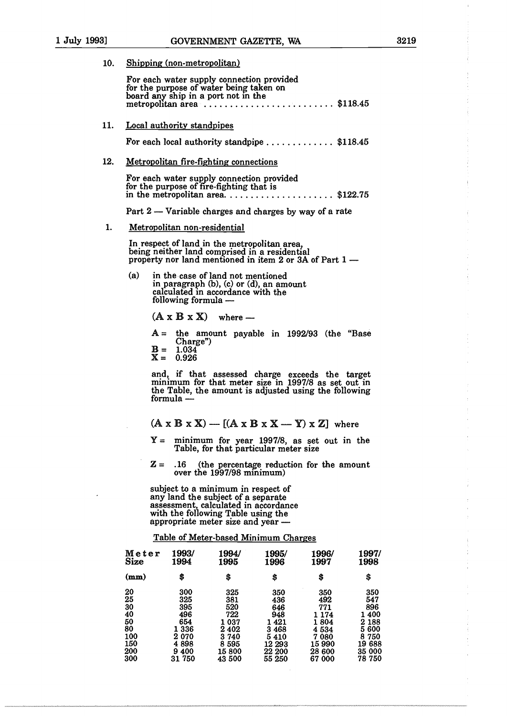10. Shipping (non-metropolitan)

|     |                                                       |                                                                   | For each water supply connection provided<br>for the purpose of water being taken on<br>board any ship in a port not in the                                                                 |                                                                       | metropolitan area $\ldots$ \$118.45                                                                                                                             |                                                                           |
|-----|-------------------------------------------------------|-------------------------------------------------------------------|---------------------------------------------------------------------------------------------------------------------------------------------------------------------------------------------|-----------------------------------------------------------------------|-----------------------------------------------------------------------------------------------------------------------------------------------------------------|---------------------------------------------------------------------------|
| 11. |                                                       | <b>Local authority standpipes</b>                                 |                                                                                                                                                                                             |                                                                       |                                                                                                                                                                 |                                                                           |
|     |                                                       |                                                                   |                                                                                                                                                                                             |                                                                       | For each local authority standpipe  \$118.45                                                                                                                    |                                                                           |
| 12. |                                                       |                                                                   | <b>Metropolitan fire-fighting connections</b>                                                                                                                                               |                                                                       |                                                                                                                                                                 |                                                                           |
|     |                                                       |                                                                   | For each water supply connection provided<br>for the purpose of fire-fighting that is                                                                                                       |                                                                       | in the metropolitan area\$122.75                                                                                                                                |                                                                           |
|     |                                                       |                                                                   |                                                                                                                                                                                             |                                                                       | Part 2 — Variable charges and charges by way of a rate                                                                                                          |                                                                           |
| 1.  |                                                       | Metropolitan non-residential                                      |                                                                                                                                                                                             |                                                                       |                                                                                                                                                                 |                                                                           |
|     |                                                       |                                                                   | In respect of land in the metropolitan area,<br>being neither land comprised in a residential                                                                                               |                                                                       | property nor land mentioned in item 2 or 3A of Part 1 -                                                                                                         |                                                                           |
|     | (a)                                                   | following formula —                                               | in the case of land not mentioned<br>in paragraph (b), (c) or (d), an amount<br>calculated in accordance with the                                                                           |                                                                       |                                                                                                                                                                 |                                                                           |
|     |                                                       |                                                                   | $(A \times B \times X)$ where —                                                                                                                                                             |                                                                       |                                                                                                                                                                 |                                                                           |
|     |                                                       |                                                                   |                                                                                                                                                                                             |                                                                       | $A =$ the amount payable in 1992/93 (the "Base                                                                                                                  |                                                                           |
|     |                                                       | Charge")<br>$B = 1.034$<br>$X = 0.926$                            |                                                                                                                                                                                             |                                                                       |                                                                                                                                                                 |                                                                           |
|     |                                                       | formula —                                                         |                                                                                                                                                                                             |                                                                       | and, if that assessed charge exceeds the target<br>minimum for that meter size in 1997/8 as set out in<br>the Table, the amount is adjusted using the following |                                                                           |
|     |                                                       |                                                                   |                                                                                                                                                                                             |                                                                       | $(A \times B \times X)$ - $[(A \times B \times X - Y) \times Z]$ where                                                                                          |                                                                           |
|     | $Y =$                                                 |                                                                   | Table, for that particular meter size                                                                                                                                                       |                                                                       | minimum for year 1997/8, as set out in the                                                                                                                      |                                                                           |
|     | $\mathbf{z}$ =                                        | .16                                                               | over the 1997/98 minimum)                                                                                                                                                                   |                                                                       | (the percentage reduction for the amount                                                                                                                        |                                                                           |
|     |                                                       |                                                                   | subject to a minimum in respect of<br>any land the subject of a separate<br>assessment, calculated in accordance<br>with the following Table using the<br>appropriate meter size and year - |                                                                       |                                                                                                                                                                 |                                                                           |
|     |                                                       |                                                                   | <b>Table of Meter-based Minimum Charges</b>                                                                                                                                                 |                                                                       |                                                                                                                                                                 |                                                                           |
|     | Meter<br><b>Size</b>                                  | <b>1993/</b><br>1994                                              | 1994/<br>1995                                                                                                                                                                               | 1995/<br>1996                                                         | 1996/<br>1997                                                                                                                                                   | 1997<br>1998                                                              |
|     | (mm)                                                  | \$                                                                | \$                                                                                                                                                                                          | \$                                                                    | \$                                                                                                                                                              | \$                                                                        |
|     | 20<br>25<br>30<br>40<br>50<br>80<br>100<br>150<br>200 | 300<br>325<br>395<br>496<br>654<br>1 336<br>2 070<br>4898<br>9400 | 325<br>381<br>520<br>722<br>1 037<br>2 402<br>3 740<br>8 5 9 5<br>15800                                                                                                                     | 350<br>436<br>646<br>948<br>1421<br>3468<br>5410<br>12 29 3<br>22 200 | 350<br>492<br>771<br>1 1 7 4<br>1804<br>4 5 3 4<br>7 080<br>15990<br>28 600                                                                                     | 350<br>547<br>896<br>1 400<br>2 188<br>5 600<br>8 750<br>19 688<br>35 000 |
|     | 300                                                   | 31750                                                             | 43 500                                                                                                                                                                                      | 55 250                                                                | 67000                                                                                                                                                           | 78 750                                                                    |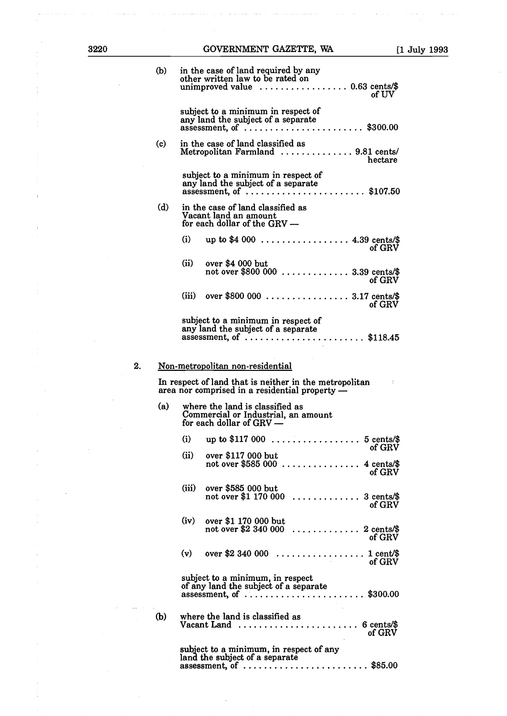÷

 $\frac{1}{2}$ 

 $\bar{z}$ 

# 3220 GOVERNMENT GAZETTE, WA [1 July 1993

 $\frac{1}{2}$ 

|    | (b) |       | in the case of land required by any<br>other written law to be rated on<br>of UV                                                                                                       |
|----|-----|-------|----------------------------------------------------------------------------------------------------------------------------------------------------------------------------------------|
|    |     |       | subject to a minimum in respect of<br>any land the subject of a separate<br>assessment, of $\ldots$ \$300.00                                                                           |
|    | (c) |       | in the case of land classified as<br>Metropolitan Farmland  9.81 cents/<br>hectare                                                                                                     |
|    |     |       | subject to a minimum in respect of<br>any land the subject of a separate<br>assessment, of $\ldots \ldots \ldots \ldots \ldots \ldots \ldots$ \$107.50                                 |
|    | (d) |       | in the case of land classified as<br>Vacant land an amount<br>for each dollar of the $GRV -$                                                                                           |
|    |     | (i)   | up to $$4\,000$ 4.39 cents/\$<br>of GRV                                                                                                                                                |
|    |     | (ii)  | over \$4 000 but<br>not over \$800 000<br>3.39 cents/\$<br>of GRV                                                                                                                      |
|    |     |       | (iii) over \$800 000 3.17 cents/\$<br>of GRV                                                                                                                                           |
|    |     |       | subject to a minimum in respect of<br>any land the subject of a separate<br>assessment, of \$118.45                                                                                    |
| 2. |     |       | <u>Non-metropolitan non-residential</u>                                                                                                                                                |
|    |     |       | In respect of land that is neither in the metropolitan<br>area nor comprised in a residential property —                                                                               |
|    | (a) |       | where the land is classified as<br>Commercial or Industrial, an amount<br>for each dollar of $GRV -$                                                                                   |
|    |     | (i)   |                                                                                                                                                                                        |
|    |     | (ii)  | of GRV<br>over \$117 000 but<br>not over \$585 000<br>4 cents/\$<br>$\overline{1}$ $\overline{1}$ $\overline{1}$ $\overline{1}$ $\overline{1}$ $\overline{1}$ $\overline{1}$<br>of GRV |
|    |     | (iii) | over \$585 000 but<br>not over \$1 170 000<br>3 cents/\$<br>of GRV                                                                                                                     |
|    |     | (iv)  | over \$1 170 000 but<br>not over \$2 340 000<br>2 cents/\$<br>.<br>of GRV                                                                                                              |
|    |     | (v)   | over \$2 340 000<br>$\ldots$ 1 cent/\$<br>of GRV                                                                                                                                       |
|    |     |       | subject to a minimum, in respect<br>of any land the subject of a separate<br>assessment, of $\dots\dots\dots\dots\dots$<br>$\ldots$ \$300.00                                           |
|    | (b) |       | where the land is classified as<br>Vacant Land $\ldots$<br>6 cents/\$<br>of GRV                                                                                                        |
|    |     |       | subject to a minimum, in respect of any<br>land the subject of a separate<br>assessment, of \$85.00                                                                                    |

 $\cdot$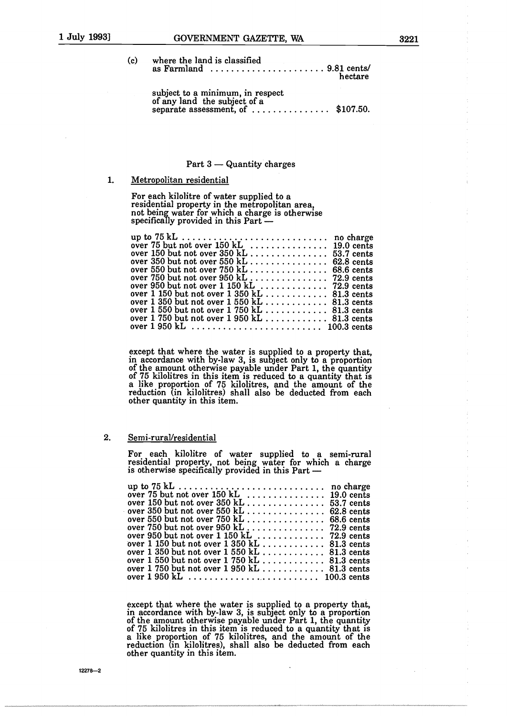| (c) where the land is classified                                    |         |
|---------------------------------------------------------------------|---------|
| as Farmland $\dots \dots \dots \dots \dots \dots \dots$ 9.81 cents/ | hectare |

subject to a minimum, in respect of any land the subject of a separate assessment, of  $\dots\dots\dots\dots$ \$107.50.

#### Part  $3$  - Quantity charges

#### 1. Metropolitan residential

For each kilolitre of water supplied to a residential property in the metropolitan area not being water for which a charge is otherwise specifically provided in this Part  $-$ 

| over 1 150 but not over $1\,350 \text{ kL}$ 81.3 cents |  |
|--------------------------------------------------------|--|
|                                                        |  |
|                                                        |  |
| over $1750$ but not over $1950$ kL 81.3 cents          |  |
|                                                        |  |
|                                                        |  |

except that where the water is supplied to a property that in accordance with by-law 3, is subject only to a proportion of the amount otherwise payable under Part 1, the quantity of <sup>75</sup> kilolitres in this item is reduced to a quantity that is a like proportion of <sup>75</sup> kilolitres, and the amount of the reduction (in kilolitres) shall also be deducted from each other quantity in this item.

#### 2. Semi-rural/residential

For each kilolitre of water supplied to a semi-rural residential property, not being water for which a charge is otherwise specifically provided in this Part -

| over $150$ but not over $350$ kL 53.7 cents                                        |  |
|------------------------------------------------------------------------------------|--|
| over 350 but not over 550 kL $\ldots \ldots \ldots \ldots 62.8$ cents              |  |
| over 550 but not over $750$ kL 68.6 cents                                          |  |
| over 750 but not over 950 kL 72.9 cents                                            |  |
| over 950 but not over $1\,150\ \rm{kL}$ $72.9\ \rm{cents}$                         |  |
| over $1\,150$ but not over $1\,350\ \rm{kL}$ 81.3 cents                            |  |
| over $1\;350$ but not over $1\;550\;{\rm kL}$ , , , , , , , , , , , . , 81.3 cents |  |
| over $1\,550$ but not over $1\,750\ \rm{kL}$ 81.3 cents                            |  |
| over $1\,750$ but not over $1\,950\ \rm{kL}$ 81.3 cents                            |  |
|                                                                                    |  |
|                                                                                    |  |

except that where the water is supplied to a property that, in accordance with by-law 3, is subject only to a proportion of the amount otherwise payable under Part 1, the quantity of 75 kilolitres in this item is reduced to a quantity that is a like proportion of 75 kilolitres, and the amount of the reduction (in kilolitres), shall also be deducted from each other quantity in this item.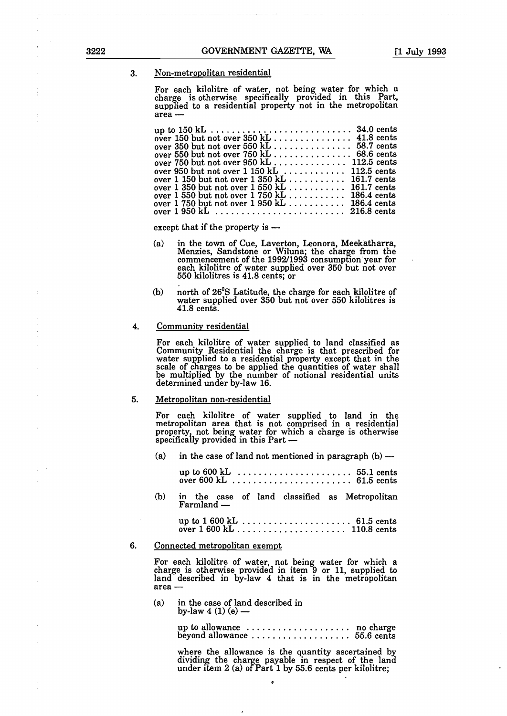3. Non-metropolitan residential

For each kilolitre of water, not being water for which a charge is otherwise specifically provided in this Part, supplied to a residential property not in the metropolitan area -

| over 1 150 but not over $1\,350 \text{ kL}$ 161.7 cents |
|---------------------------------------------------------|
| over $1\,350$ but not over $1\,550$ kL 161.7 cents      |
| over 1 550 but not over 1 750 kL 186.4 cents            |
| over $1750$ but not over $1950$ kL 186.4 cents          |
|                                                         |

except that if the property is  $-$ 

- (a) in the town of Cue, Laverton, Leonora, Meekatharra,<br>Menzies, Sandstone or Wiluna; the charge from the commencement of the 1992/1993 consumption year for each kilolitre of water supplied over 350 but not over 550 kilolitres is 41.8 cents; or
- b north of 26°S Latitude, the charge for each kilolitre of water supplied over 350 but not over 550 kilolitres is 41.8 cents.

#### 4. Community residential

For each kilolitre of water supplied to land classified as Community Residential the charge is that prescribed for water supplied to a residential property except that in the scale of charges to be applied the quantities of water shall be multiplied by the number of notional residential units determined under by-law 16.

#### 5. Metropolitan non-residential

For each kilolitre of water supplied to land in the metropolitan area that is not comprised in a residential property, not being water for which a charge is otherwise specifically provided in this Part -

(a) in the case of land not mentioned in paragraph  $(b)$  -

up to 600 kL 55.1 cents over 600 kL 61.5 cents

b in the case of land classified as Metropolitan Farmland -

> up to <sup>1</sup> 600 kL 61.5 cents over 1 600 kL 110.8 cents

#### 6. Connected metropolitan exempt

For each kilolitre of water, not being water for which a charge is otherwise provided in item 9 or 11, supplied to land described in by-law 4 that is in the metropolitan area -

(a) in the case of land described in by-law  $4(1)(e)$  –

> up to allowance  $\dots\dots\dots\dots\dots\dots$  no charge beyond allowance 55.6 cents

where the allowance is the quantity ascertained by dividing the charge payable in respect of the land<br>under item 2 (a) of Part 1 by 55.6 cents per kilolitre;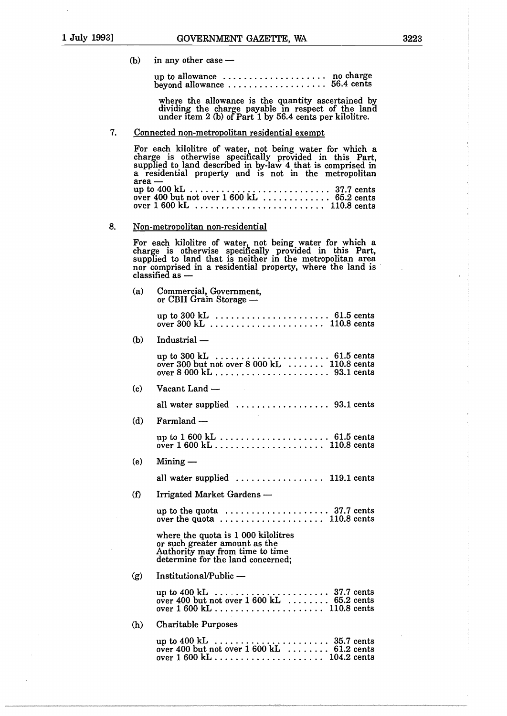$(b)$  in any other case  $-$ 

up to allowance no charge beyond allowance 56.4 cents

where the allowance is the quantity ascertained by dividing the charge payable in respect of the land under item 2 (b) of Part 1 by 56.4 cents per kilolitre.

7. Connected non-metropolitan residential exempt

For each kilolitre of water, not being water for which a charge is otherwise specifically provided in this Part, supplied to land described in by-law 4 that is comprised in a residential property and is not in the metropolitan  $area$   $\frac{1}{2}$  up to 400 kL . . . . . . . . . up to  $400 \text{ kL}$   $\dots$   $\dots$   $\dots$   $\dots$   $\dots$   $\dots$   $37.7$  cents over  $400$  but not over  $1600$  kL  $\ldots \ldots \ldots 65.2$  cents over 1 600 kL 110.8 cents

#### 8. Non-metropolitan non-residential

For each kilolitre of water, not being water for which a charge is otherwise specilically provided in this Part, supplied to land that is neither in the metropolitan area nor comprised in a residential property, where the land is  $classified$  as  $-$ 

| (a)      | Commercial, Government,<br>or CBH Grain Storage -                                                                                            |
|----------|----------------------------------------------------------------------------------------------------------------------------------------------|
|          |                                                                                                                                              |
| (b)      | Industrial —                                                                                                                                 |
|          | over 300 but not over $8000 \text{ kL}$ 110.8 cents                                                                                          |
| (c)      | Vacant Land —                                                                                                                                |
|          | all water supplied $\ldots \ldots \ldots \ldots \ldots$ 93.1 cents                                                                           |
| (d)      | Farmland -                                                                                                                                   |
|          |                                                                                                                                              |
| (e)      | $Mining -$                                                                                                                                   |
|          | all water supplied $\ldots \ldots \ldots \ldots \ldots$ 119.1 cents                                                                          |
| $\Omega$ | Irrigated Market Gardens —                                                                                                                   |
|          | up to the quota  37.7 cents<br>over the quota  110.8 cents                                                                                   |
|          | where the quota is 1 000 kilolitres<br>or such greater amount as the<br>Authority may from time to time<br>determine for the land concerned; |
| (g)      | Institutional/Public -                                                                                                                       |
|          | over 400 but not over $1600 \text{ kL}$ 65.2 cents                                                                                           |
| (h)      | <b>Charitable Purposes</b>                                                                                                                   |
|          | up to 400 kL  35.7 cents<br>over 400 but not over 1 600 kL  61.2 cents                                                                       |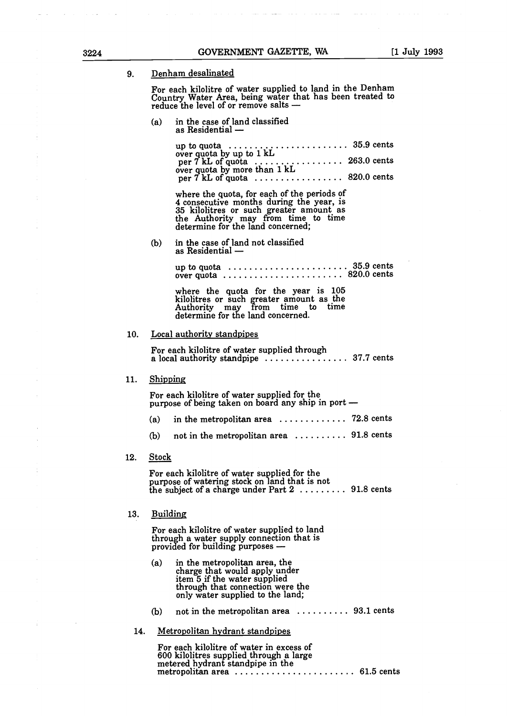9. Denham desalinated

For each kilolitre of water supplied to land in the Denham Country Water Area, being water that has been treated to reduce the level of or remove salts -

 $(a)$  in the case of land classified as Residential  $-$ 

| up to quota $\dots \dots \dots \dots \dots \dots \dots \dots$ 35.9 cents<br>over quota by up to $1 \text{ kL}$ |  |
|----------------------------------------------------------------------------------------------------------------|--|
|                                                                                                                |  |
| per $7$ kL of quota  820.0 cents                                                                               |  |

where the quota, for each of the periods of 4 consecutive months during the year, is 35 kilolitres or such greater amount as the Authority may from time to time determine for the land concerned;

(b) in the case of land not classified as Residential -

> up to quota  $\dots \dots \dots \dots \dots \dots \dots$  35.9 cents over quota ........................... 820.0 cents

where the quota for the year is 105 kilolitres or such greater amount as the Authority may from time to time determine for the land concerned.

#### 10. Local authority standpipes

For each kilolitre of water supplied through a local authority standpipe  $\ldots$   $\ldots$   $\ldots$   $\ldots$  37.7 cents

# 11. Shipping

For each kilolitre of water supplied for the purpose of being taken on board any ship in port -

- (a) in the metropolitan area  $\dots \dots \dots \dots$  72.8 cents
- (b) not in the metropolitan area  $\dots \dots \dots$  91.8 cents

#### 12. Stock

For each kilolitre of water supplied for the purpose of watering stock on land that is not the subject of a charge under Part  $2, \ldots, 91.8$  cents

#### 13. Building

For each kilolitre of water supplied to land through a water supply connection that is provided for building purposes -

- (a) in the metropolitan area, the charge that would apply under item 5 if the water supplied through that connection were the only water supplied to the land;
- (b) not in the metropolitan area  $\dots \dots \dots$  93.1 cents
- 14. Metropolitan hydrant standpipes

For each kilolitre of water in excess of 600 kilolitres supplied through a large metered hydrant standpipe in the metropolitan area 61.5 cents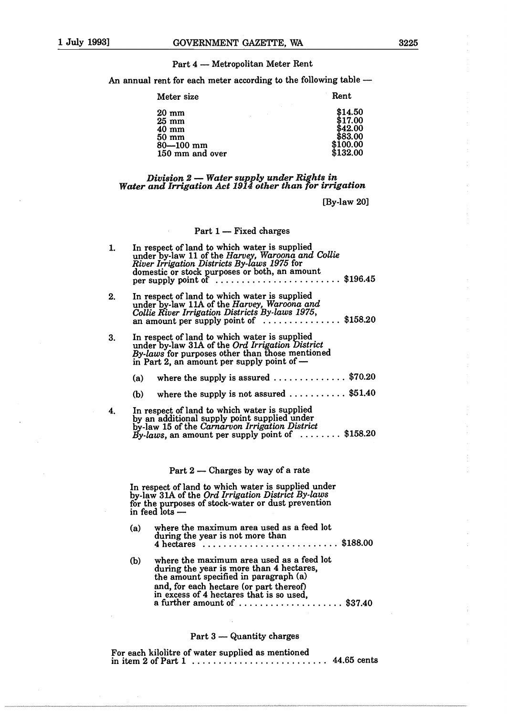#### Part 4 - Metropolitan Meter Rent

An annual rent for each meter according to the following table -

| Meter size      | Rent     |
|-----------------|----------|
| $20 \text{ mm}$ | \$14.50  |
| $25 \text{ mm}$ | \$17.00  |
| $40 \text{ mm}$ | \$42.00  |
| $50 \text{ mm}$ | \$83.00  |
| $80 - 100$ mm   | \$100.00 |
| 150 mm and over | \$132.00 |

# *Division 2- Water supply under Rights in Water and Irrigation Act 1914 other than for irrigation*

[By-law 20]

#### Part  $1$  - Fixed charges

| 1. | In respect of land to which water is supplied<br>under by-law 11 of the Harvey, Waroona and Collie<br>River Irrigation Districts By-laws 1975 for<br>domestic or stock purposes or both, an amount<br>\$196.45<br>per supply point of                                                                                                             |
|----|---------------------------------------------------------------------------------------------------------------------------------------------------------------------------------------------------------------------------------------------------------------------------------------------------------------------------------------------------|
| 2. | In respect of land to which water is supplied<br>under by-law 11A of the Harvey, Waroona and<br>Collie River Irrigation Districts By-laws 1975,<br>an amount per supply point of $\ldots$ \$158.20                                                                                                                                                |
| 3. | In respect of land to which water is supplied<br>under by-law 31A of the Ord Irrigation District<br>By-laws for purposes other than those mentioned<br>in Part 2, an amount per supply point of -                                                                                                                                                 |
|    | where the supply is assured $\ldots \ldots \ldots \ldots$ \$70.20<br>(a)                                                                                                                                                                                                                                                                          |
|    | where the supply is not assured $\ldots \ldots \ldots$ \$51.40<br>(b)                                                                                                                                                                                                                                                                             |
| 4. | In respect of land to which water is supplied<br>by an additional supply point supplied under<br>by-law 15 of the Carnarvon Irrigation District<br>By-laws, an amount per supply point of $\dots \dots$ \$158.20                                                                                                                                  |
|    | Part $2$ — Charges by way of a rate                                                                                                                                                                                                                                                                                                               |
|    | In respect of land to which water is supplied under<br>by-law 31A of the <i>Ord Irrigation District By-laws</i><br>and the contract of the contract of the contract of the contract of the contract of the contract of the contract of the contract of the contract of the contract of the contract of the contract of the contract of the contra |

for the purposes of stock-water or dust prevention in feed lots  $\cdot$ 

- (a) where the maximum area used as a feed lot during the year is not more than 4 hectares ..................................\$188.00
- (b) where the maximum area used as a feed lot during the year is more than 4 hectares,<br>the amount specified in paragraph (a) and, for each hectare (or part thereof) in excess of 4 hectares that is so used, a further amount of  $\dots\dots\dots\dots\dots$ \$37.40

# Part  $3$  - Quantity charges

For each kilolitre of water supplied as mentioned in item <sup>2</sup> of Part <sup>1</sup> 44.65 cents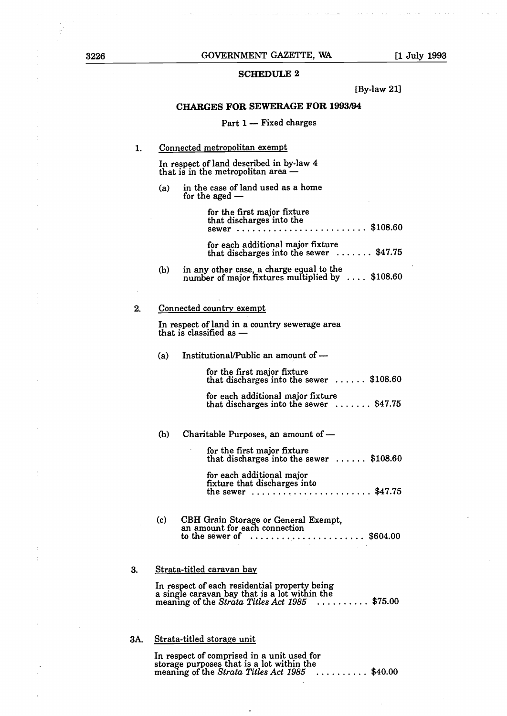# SCHEDULE 2

[By-law 21]

#### CHARGES FOR SEWERAGE FOR 1993/94

#### Part  $1 -$  Fixed charges

#### $\mathbf{1}$ Connected metropolitan exempt

In respect of land described in by-law 4 that is in the metropolitan area -

(a) in the case of land used as a home for the aged  $-$ 

> for the first major fixture that discharges into the sewer ...........................\$108.60

> for each additional major fixture that discharges into the sewer  $\dots \dots$ \$47.75

(b) in any other case, a charge equal to the number of major fixtures multiplied by  $\ldots$  \$108.60

#### 2. Connected country exempt

In respect of land in a country sewerage area that is classified as -

(a) Institutional/Public an amount of  $-$ 

for the first major fixture that discharges into the sewer  $\ldots \ldots$  \$108.60

for each additional major fixture that discharges into the sewer  $\dots \dots$ \$47.75

 $(b)$  Charitable Purposes, an amount of  $-$ 

for the first major fixture that discharges into the sewer  $\ldots \ldots$  \$108.60

for each additional major fixture that discharges into the sewer  $\dots \dots \dots \dots \dots \dots \dots \$  \$47.75

c CBH Grain Storage or General Exempt, an amount for each connection to the sewer of \$604.00

# 3. Strata-titled caravan bay

In respect of each residential property being a single caravan bay that is a lot within the meaning of the *Strata Titles Act*  $1985$   $\dots$   $\dots$   $\dots$  \$75.00

# 3A. Strata-titled storage unit

In respect of comprised in a unit used for storage purposes that is a lot within the meaning of the *Strata Titles Act* 1985  $\ldots$ ....... \$40.00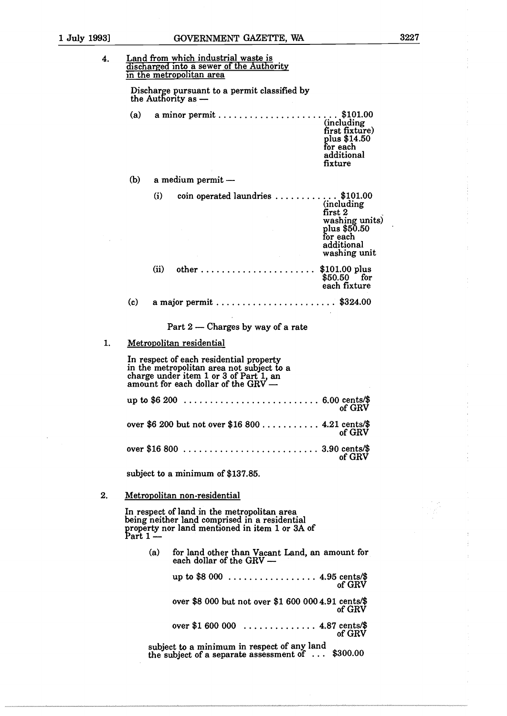| 4. | Land from which industrial waste is<br>discharged into a sewer of the Authority<br>in the metropolitan area                                                             |  |  |  |  |  |  |  |  |  |  |  |  |  |
|----|-------------------------------------------------------------------------------------------------------------------------------------------------------------------------|--|--|--|--|--|--|--|--|--|--|--|--|--|
|    | Discharge pursuant to a permit classified by<br>the Authority as -                                                                                                      |  |  |  |  |  |  |  |  |  |  |  |  |  |
|    | a minor permit\$101.00<br>(a)<br>(including<br>first fixture)<br>plus \$14.50<br>for each<br>additional<br>fixture                                                      |  |  |  |  |  |  |  |  |  |  |  |  |  |
|    | (b)<br>a medium permit —                                                                                                                                                |  |  |  |  |  |  |  |  |  |  |  |  |  |
|    | coin operated laundries $\ldots \ldots \ldots$ \$101.00<br>(i)<br>(including)<br>first 2<br>washing units)<br>plus \$50.50<br>for each<br>additional<br>washing unit    |  |  |  |  |  |  |  |  |  |  |  |  |  |
|    | (ii)<br>$$101.00$ plus<br>$$50.50$ for<br>each fixture                                                                                                                  |  |  |  |  |  |  |  |  |  |  |  |  |  |
|    | (c)                                                                                                                                                                     |  |  |  |  |  |  |  |  |  |  |  |  |  |
|    | Part 2 – Charges by way of a rate                                                                                                                                       |  |  |  |  |  |  |  |  |  |  |  |  |  |
| 1. | Metropolitan residential                                                                                                                                                |  |  |  |  |  |  |  |  |  |  |  |  |  |
|    | In respect of each residential property<br>in the metropolitan area not subject to a<br>charge under item 1 or 3 of Part 1, an<br>amount for each dollar of the $GRV -$ |  |  |  |  |  |  |  |  |  |  |  |  |  |
|    | of GRV                                                                                                                                                                  |  |  |  |  |  |  |  |  |  |  |  |  |  |
|    | over \$6 200 but not over \$16 800  4.21 cents/\$<br>of GRV                                                                                                             |  |  |  |  |  |  |  |  |  |  |  |  |  |
|    | of GRV                                                                                                                                                                  |  |  |  |  |  |  |  |  |  |  |  |  |  |
|    | subject to a minimum of \$137.85.                                                                                                                                       |  |  |  |  |  |  |  |  |  |  |  |  |  |
| 2. | Metropolitan non-residential                                                                                                                                            |  |  |  |  |  |  |  |  |  |  |  |  |  |
|    | In respect of land in the metropolitan area<br>being neither land comprised in a residential<br>property nor land mentioned in item 1 or 3A of<br>$Part 1 -$            |  |  |  |  |  |  |  |  |  |  |  |  |  |
|    | (a)<br>for land other than Vacant Land, an amount for<br>each dollar of the GRV -                                                                                       |  |  |  |  |  |  |  |  |  |  |  |  |  |
|    | up to \$8 000 4.95 cents/\$<br>of GRV                                                                                                                                   |  |  |  |  |  |  |  |  |  |  |  |  |  |
|    | over \$8 000 but not over \$1 600 000 4.91 cents/\$<br>of GRV                                                                                                           |  |  |  |  |  |  |  |  |  |  |  |  |  |
|    | over \$1 600 000  4.87 cents/\$<br>of GRV                                                                                                                               |  |  |  |  |  |  |  |  |  |  |  |  |  |
|    | subject to a minimum in respect of any land<br>\$300.00<br>the subject of a separate assessment of $\dots$                                                              |  |  |  |  |  |  |  |  |  |  |  |  |  |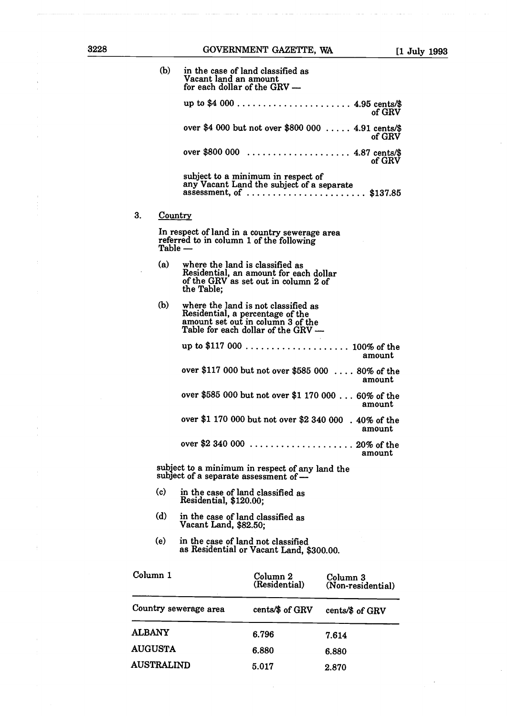$3.$ 

| (b) | in the case of land classified as<br>Vacant land an amount<br>for each dollar of the GRV -                                                         |
|-----|----------------------------------------------------------------------------------------------------------------------------------------------------|
|     | of GRV                                                                                                                                             |
|     | over \$4 000 but not over \$800 000  4.91 cents/\$<br>of GRV                                                                                       |
|     | over \$800 000  4.87 cents/\$<br>of GRV                                                                                                            |
|     | subject to a minimum in respect of<br>any Vacant Land the subject of a separate<br>assessment, of  \$137.85                                        |
|     | <b>Country</b>                                                                                                                                     |
|     | In respect of land in a country sewerage area<br>referred to in column 1 of the following<br>Table —                                               |
| (a) | where the land is classified as<br>Residential, an amount for each dollar<br>of the GRV as set out in column 2 of<br>the Table:                    |
| (b) | where the land is not classified as<br>Residential, a percentage of the<br>amount set out in column 3 of the<br>Table for each dollar of the GRV - |
|     | up to \$117 000  100% of the<br>amount                                                                                                             |
|     | over \$117 000 but not over \$585 000  80% of the<br>amount                                                                                        |
|     | over \$585 000 but not over \$1 170 000 60% of the<br>amount                                                                                       |
|     | over \$1 170 000 but not over \$2 340 000. 40% of the<br>amount                                                                                    |
|     | over \$2 340 000<br>$\cdots \cdots \cdots \cdots \cdots \cdots \cdots 20\%$ of the<br>amount                                                       |
|     | subject to a minimum in respect of any land the<br>subject of a separate assessment of $-$                                                         |
| (c) | in the case of land classified as<br>Residential, \$120.00;                                                                                        |
| (d) | in the case of land classified as<br>Vacant Land, \$82.50;                                                                                         |
| (e) | in the case of land not classified<br>as Residential or Vacant Land, \$300.00.                                                                     |

| Column 1              | Column 2<br>(Residential) | Column 3<br>(Non-residential) |  |  |  |  |  |
|-----------------------|---------------------------|-------------------------------|--|--|--|--|--|
| Country sewerage area | cents/\$ of GRV           | cents/\$ of GRV               |  |  |  |  |  |
| <b>ALBANY</b>         | 6.796                     | 7.614                         |  |  |  |  |  |
| <b>AUGUSTA</b>        | 6.880                     | 6.880                         |  |  |  |  |  |
| <b>AUSTRALIND</b>     | 5.017                     | 2.870                         |  |  |  |  |  |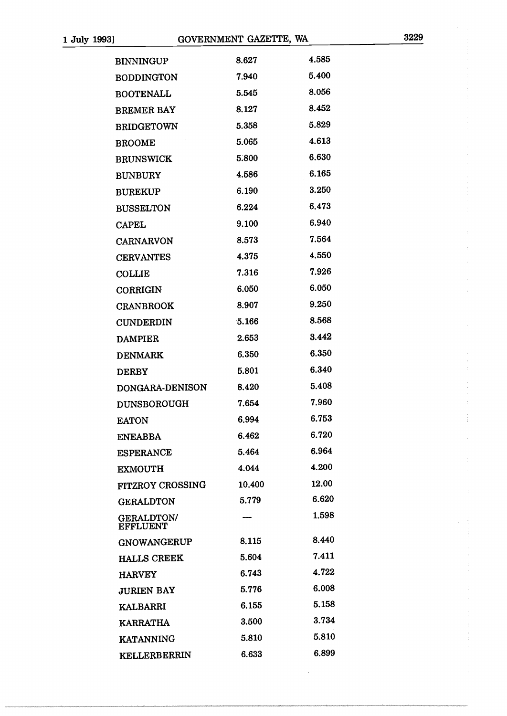Ĵ,

÷.

 $\ddot{\phantom{a}}$ 

| <b>BINNINGUP</b>                     | 8.627  | 4.585 |
|--------------------------------------|--------|-------|
| <b>BODDINGTON</b>                    | 7.940  | 5.400 |
| <b>BOOTENALL</b>                     | 5.545  | 8.056 |
| <b>BREMER BAY</b>                    | 8.127  | 8.452 |
| <b>BRIDGETOWN</b>                    | 5.358  | 5.829 |
| <b>BROOME</b>                        | 5.065  | 4.613 |
| <b>BRUNSWICK</b>                     | 5.800  | 6.630 |
| <b>BUNBURY</b>                       | 4.586  | 6.165 |
| <b>BUREKUP</b>                       | 6.190  | 3.250 |
| <b>BUSSELTON</b>                     | 6.224  | 6.473 |
| <b>CAPEL</b>                         | 9.100  | 6.940 |
| <b>CARNARVON</b>                     | 8.573  | 7.564 |
| <b>CERVANTES</b>                     | 4.375  | 4.550 |
| <b>COLLIE</b>                        | 7.316  | 7.926 |
| CORRIGIN                             | 6.050  | 6.050 |
| <b>CRANBROOK</b>                     | 8.907  | 9.250 |
| <b>CUNDERDIN</b>                     | 5.166  | 8.568 |
| <b>DAMPIER</b>                       | 2.653  | 3.442 |
| <b>DENMARK</b>                       | 6.350  | 6.350 |
| <b>DERBY</b>                         | 5.801  | 6.340 |
| DONGARA-DENISON                      | 8.420  | 5.408 |
| <b>DUNSBOROUGH</b>                   | 7.654  | 7.960 |
| <b>EATON</b>                         | 6.994  | 6.753 |
| <b>ENEABBA</b>                       | 6.462  | 6.720 |
| <b>ESPERANCE</b>                     | 5.464  | 6.964 |
| <b>EXMOUTH</b>                       | 4.044  | 4.200 |
| FITZROY CROSSING                     | 10.400 | 12.00 |
| <b>GERALDTON</b>                     | 5.779  | 6.620 |
| <b>GERALDTON/</b><br><b>EFFLUENT</b> |        | 1.598 |
| <b>GNOWANGERUP</b>                   | 8.115  | 8.440 |
| <b>HALLS CREEK</b>                   | 5.604  | 7.411 |
| <b>HARVEY</b>                        | 6.743  | 4.722 |
| <b>JURIEN BAY</b>                    | 5.776  | 6.008 |
| <b>KALBARRI</b>                      | 6.155  | 5.158 |
| <b>KARRATHA</b>                      | 3.500  | 3.734 |
| KATANNING                            | 5.810  | 5.810 |
| KELLERBERRIN                         | 6.633  | 6.899 |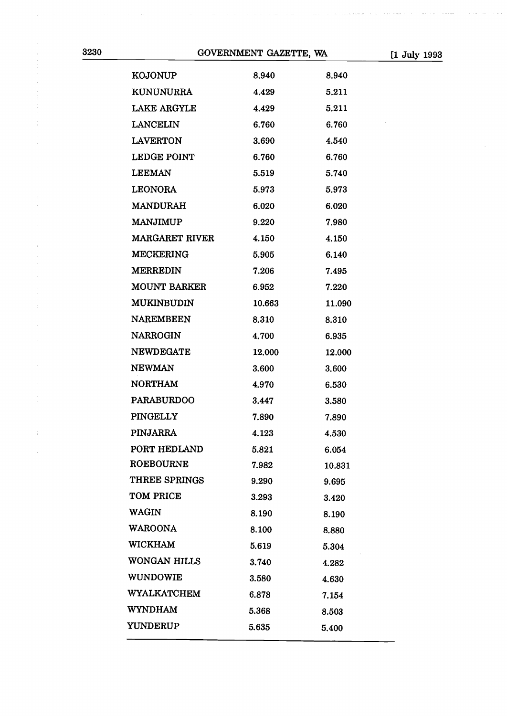$\frac{1}{2}$ 

÷

| <b>KOJONUP</b>        | 8.940  | 8.940  |
|-----------------------|--------|--------|
| <b>KUNUNURRA</b>      | 4.429  | 5.211  |
| LAKE ARGYLE           | 4.429  | 5.211  |
| LANCELIN              | 6.760  | 6.760  |
| <b>LAVERTON</b>       | 3.690  | 4.540  |
| <b>LEDGE POINT</b>    | 6.760  | 6.760  |
| <b>LEEMAN</b>         | 5.519  | 5.740  |
| <b>LEONORA</b>        | 5.973  | 5.973  |
| <b>MANDURAH</b>       | 6.020  | 6.020  |
| <b>MANJIMUP</b>       | 9.220  | 7.980  |
| <b>MARGARET RIVER</b> | 4.150  | 4.150  |
| <b>MECKERING</b>      | 5.905  | 6.140  |
| <b>MERREDIN</b>       | 7.206  | 7.495  |
| <b>MOUNT BARKER</b>   | 6.952  | 7.220  |
| <b>MUKINBUDIN</b>     | 10.663 | 11.090 |
| <b>NAREMBEEN</b>      | 8.310  | 8.310  |
| <b>NARROGIN</b>       | 4.700  | 6.935  |
| <b>NEWDEGATE</b>      | 12.000 | 12.000 |
| <b>NEWMAN</b>         | 3.600  | 3.600  |
| <b>NORTHAM</b>        | 4.970  | 6.530  |
| <b>PARABURDOO</b>     | 3.447  | 3.580  |
| <b>PINGELLY</b>       | 7.890  | 7.890  |
| <b>PINJARRA</b>       | 4.123  | 4.530  |
| PORT HEDLAND          | 5.821  | 6.054  |
| <b>ROEBOURNE</b>      | 7.982  | 10.831 |
| THREE SPRINGS         | 9.290  | 9.695  |
| TOM PRICE             | 3.293  | 3.420  |
| <b>WAGIN</b>          | 8.190  | 8.190  |
| <b>WAROONA</b>        | 8.100  | 8.880  |
| <b>WICKHAM</b>        | 5.619  | 5.304  |
| WONGAN HILLS          | 3.740  | 4.282  |
| <b>WUNDOWIE</b>       | 3.580  | 4.630  |
| WYALKATCHEM           | 6.878  | 7.154  |
| <b>WYNDHAM</b>        | 5.368  | 8.503  |
| <b>YUNDERUP</b>       | 5.635  | 5.400  |
|                       |        |        |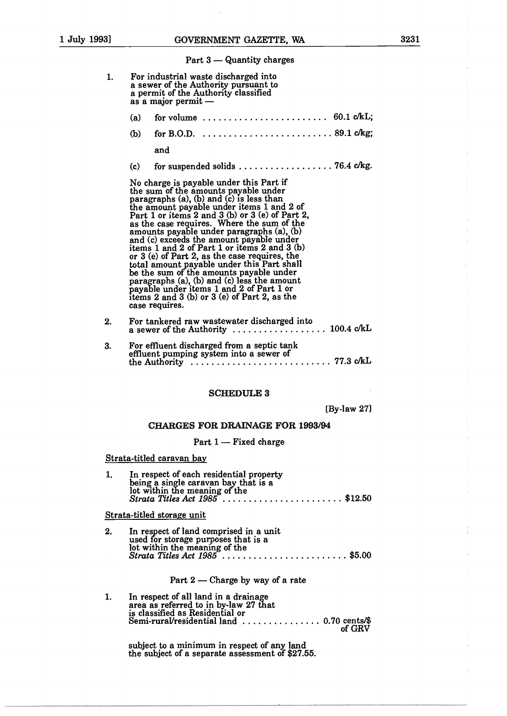Part  $3$  — Quantity charges

|    | $-$                                                                                                                                                                                                                                                                                                                                                                                                                                                                                                                                                                                                                                                                                                                         |
|----|-----------------------------------------------------------------------------------------------------------------------------------------------------------------------------------------------------------------------------------------------------------------------------------------------------------------------------------------------------------------------------------------------------------------------------------------------------------------------------------------------------------------------------------------------------------------------------------------------------------------------------------------------------------------------------------------------------------------------------|
| 1. | For industrial waste discharged into<br>a sewer of the Authority pursuant to<br>a permit of the Authority classified<br>as a major permit -                                                                                                                                                                                                                                                                                                                                                                                                                                                                                                                                                                                 |
|    | for volume $\ldots \ldots \ldots \ldots \ldots \ldots \ldots$ 60.1 c/kL;<br>(a)                                                                                                                                                                                                                                                                                                                                                                                                                                                                                                                                                                                                                                             |
|    | (b)                                                                                                                                                                                                                                                                                                                                                                                                                                                                                                                                                                                                                                                                                                                         |
|    | and                                                                                                                                                                                                                                                                                                                                                                                                                                                                                                                                                                                                                                                                                                                         |
|    | (c)                                                                                                                                                                                                                                                                                                                                                                                                                                                                                                                                                                                                                                                                                                                         |
|    | No charge is payable under this Part if<br>the sum of the amounts payable under<br>paragraphs (a), (b) and (c) is less than<br>the amount payable under items 1 and 2 of<br>Part 1 or items 2 and 3 (b) or 3 (e) of Part 2,<br>as the case requires. Where the sum of the<br>amounts payable under paragraphs (a), (b)<br>and (c) exceeds the amount payable under<br>items 1 and 2 of Part 1 or items 2 and 3 $(b)$<br>or 3 (e) of Part 2, as the case requires, the<br>total amount payable under this Part shall<br>be the sum of the amounts payable under<br>paragraphs (a), (b) and (c) less the amount<br>payable under items 1 and 2 of Part 1 or<br>items 2 and 3 (b) or 3 (e) of Part 2, as the<br>case requires. |
| 2. | For tankered raw wastewater discharged into<br>a sewer of the Authority  100.4 c/kL                                                                                                                                                                                                                                                                                                                                                                                                                                                                                                                                                                                                                                         |
| 3. | For effluent discharged from a septic tank<br>effluent pumping system into a sewer of                                                                                                                                                                                                                                                                                                                                                                                                                                                                                                                                                                                                                                       |
|    | <b>SCHEDULE 3</b>                                                                                                                                                                                                                                                                                                                                                                                                                                                                                                                                                                                                                                                                                                           |
|    | $[By-law 27]$                                                                                                                                                                                                                                                                                                                                                                                                                                                                                                                                                                                                                                                                                                               |
|    | <b>CHARGES FOR DRAINAGE FOR 1993/94</b>                                                                                                                                                                                                                                                                                                                                                                                                                                                                                                                                                                                                                                                                                     |
|    | Part 1 - Fixed charge                                                                                                                                                                                                                                                                                                                                                                                                                                                                                                                                                                                                                                                                                                       |
|    | Strata-titled caravan bay                                                                                                                                                                                                                                                                                                                                                                                                                                                                                                                                                                                                                                                                                                   |
| 1. | In respect of each residential property<br>being a single caravan bay that is a<br>lot within the meaning of the<br>Strata Titles Act $1985$ \$12.50                                                                                                                                                                                                                                                                                                                                                                                                                                                                                                                                                                        |
|    | Strata-titled storage unit                                                                                                                                                                                                                                                                                                                                                                                                                                                                                                                                                                                                                                                                                                  |
| 2. | In respect of land comprised in a unit<br>used for storage purposes that is a                                                                                                                                                                                                                                                                                                                                                                                                                                                                                                                                                                                                                                               |
|    | lot within the meaning of the<br>$Strata$ Titles Act $1985$ \$5.00                                                                                                                                                                                                                                                                                                                                                                                                                                                                                                                                                                                                                                                          |
|    | Part $2$ — Charge by way of a rate                                                                                                                                                                                                                                                                                                                                                                                                                                                                                                                                                                                                                                                                                          |
| 1. | In respect of all land in a drainage<br>area as referred to in by-law 27 that                                                                                                                                                                                                                                                                                                                                                                                                                                                                                                                                                                                                                                               |
|    | is classified as Residential or<br>Semi-rural/residential land  0.70 cents/\$<br>of GRV                                                                                                                                                                                                                                                                                                                                                                                                                                                                                                                                                                                                                                     |

subject to a minimum in respect of any land the subject of a separate assessment of \$27.55.  $\frac{1}{2}$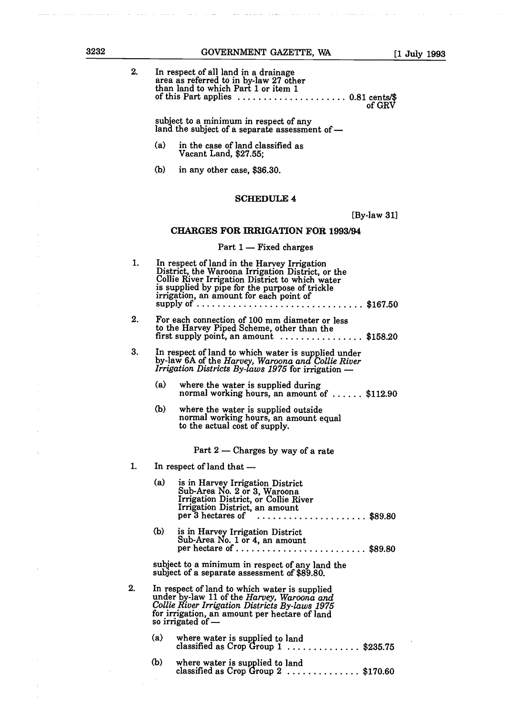| ---<br>۰,<br>۰,<br>۰,<br>-<br>۰. |  |
|----------------------------------|--|
|                                  |  |

 $\bar{z}$ 

Ĵ,

 $\overline{1}$ 

 $\bar{\phantom{a}}$ Ă,  $\ddot{\phantom{1}}$ 

 $\ddot{\phantom{a}}$ 

 $\bar{1}$ 

| 2. | In respect of all land in a drainage<br>area as referred to in by-law 27 other<br>than land to which Part 1 or item 1<br>of this Part applies $\ldots \ldots \ldots \ldots \ldots \ldots 0.81$ cents/\$<br>of GRV                                                                                                                              |
|----|------------------------------------------------------------------------------------------------------------------------------------------------------------------------------------------------------------------------------------------------------------------------------------------------------------------------------------------------|
|    | subject to a minimum in respect of any<br>land the subject of a separate assessment of -                                                                                                                                                                                                                                                       |
|    | (a)<br>in the case of land classified as<br>Vacant Land, \$27.55;                                                                                                                                                                                                                                                                              |
|    | (b)<br>in any other case, \$36.30.                                                                                                                                                                                                                                                                                                             |
|    | <b>SCHEDULE 4</b>                                                                                                                                                                                                                                                                                                                              |
|    | $[By-law 31]$                                                                                                                                                                                                                                                                                                                                  |
|    | <b>CHARGES FOR IRRIGATION FOR 1993/94</b>                                                                                                                                                                                                                                                                                                      |
|    | Part 1 - Fixed charges                                                                                                                                                                                                                                                                                                                         |
| 1. | In respect of land in the Harvey Irrigation<br>District, the Waroona Irrigation District, or the<br>Collie River Irrigation District to which water<br>is supplied by pipe for the purpose of trickle<br>irrigation, an amount for each point of<br>supply of $\ldots \ldots \ldots \ldots \ldots \ldots \ldots \ldots \ldots \ldots$ \$167.50 |
| 2. | For each connection of 100 mm diameter or less<br>to the Harvey Piped Scheme, other than the<br>first supply point, an amount $\ldots \ldots \ldots \ldots$ \$158.20                                                                                                                                                                           |
| 3. | In respect of land to which water is supplied under<br>by-law 6A of the Harvey, Waroona and Collie River<br>Irrigation Districts By-laws 1975 for irrigation -                                                                                                                                                                                 |
|    | (a)<br>where the water is supplied during<br>normal working hours, an amount of $\dots$ : \$112.90                                                                                                                                                                                                                                             |
|    | (b)<br>where the water is supplied outside<br>normal working hours, an amount equal<br>to the actual cost of supply.                                                                                                                                                                                                                           |
|    | Part 2 - Charges by way of a rate                                                                                                                                                                                                                                                                                                              |
| 1. | In respect of land that -                                                                                                                                                                                                                                                                                                                      |
|    | (a)<br>is in Harvey Irrigation District<br>Sub-Area No. 2 or 3, Waroona<br>Irrigation District, or Collie River<br>Irrigation District, an amount<br>$\cdots \cdots \cdots \cdots \cdots \cdots \cdots \cdots$ \$89.80<br>per 3 hectares of                                                                                                    |
|    | (b)<br>is in Harvey Irrigation District<br>Sub-Area No. 1 or 4, an amount<br>per hectare of  \$89.80                                                                                                                                                                                                                                           |
|    | subject to a minimum in respect of any land the<br>subject of a separate assessment of \$89.80.                                                                                                                                                                                                                                                |
| 2. | In respect of land to which water is supplied<br>under by-law 11 of the Harvey, Waroona and<br>Collie River Irrigation Districts By-laws 1975<br>for irrigation, an amount per hectare of land<br>so irrigated of -                                                                                                                            |
|    | (a)<br>where water is supplied to land<br>classified as Crop Group $1$ \$235.75                                                                                                                                                                                                                                                                |
|    | (b)<br>where water is supplied to land<br>classified as Crop Group $2$ \$170.60                                                                                                                                                                                                                                                                |
|    |                                                                                                                                                                                                                                                                                                                                                |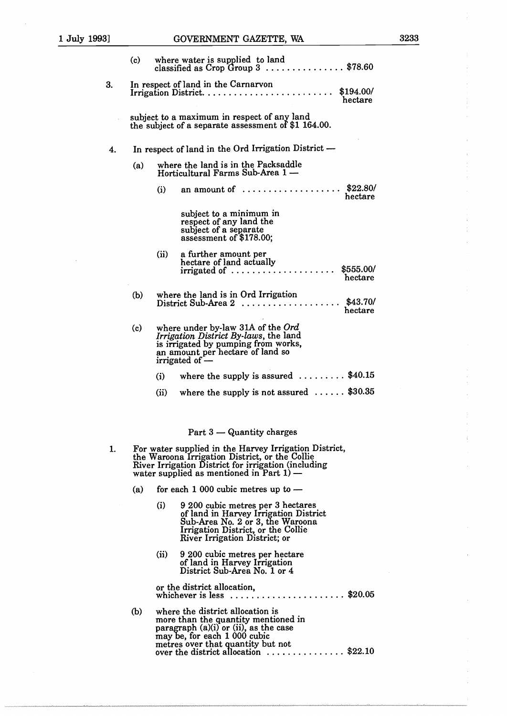|    | (c)                                                                                                |                                                                        | where water is supplied to land<br>classified as Crop Group 3 \$78.60                                                                                                                                         |  |  |  |  |  |  |  |  |  |
|----|----------------------------------------------------------------------------------------------------|------------------------------------------------------------------------|---------------------------------------------------------------------------------------------------------------------------------------------------------------------------------------------------------------|--|--|--|--|--|--|--|--|--|
| 3. |                                                                                                    |                                                                        | In respect of land in the Carnarvon<br>\$194.00/<br>hectare                                                                                                                                                   |  |  |  |  |  |  |  |  |  |
|    | subject to a maximum in respect of any land<br>the subject of a separate assessment of \$1 164.00. |                                                                        |                                                                                                                                                                                                               |  |  |  |  |  |  |  |  |  |
| 4. |                                                                                                    |                                                                        | In respect of land in the Ord Irrigation District -                                                                                                                                                           |  |  |  |  |  |  |  |  |  |
|    | (a)                                                                                                | where the land is in the Packsaddle<br>Horticultural Farms Sub-Area 1- |                                                                                                                                                                                                               |  |  |  |  |  |  |  |  |  |
|    |                                                                                                    | (i)                                                                    | \$22.80/<br>an amount of $\dots\dots\dots\dots\dots\dots\dots$<br>hectare                                                                                                                                     |  |  |  |  |  |  |  |  |  |
|    |                                                                                                    |                                                                        | subject to a minimum in<br>respect of any land the<br>subject of a separate<br>assessment of \$178.00;                                                                                                        |  |  |  |  |  |  |  |  |  |
|    |                                                                                                    | (ii)                                                                   | a further amount per<br>hectare of land actually<br>\$555.00/<br>$irrigated of \ldots \ldots \ldots \ldots \ldots$<br>hectare                                                                                 |  |  |  |  |  |  |  |  |  |
|    | (b)                                                                                                |                                                                        | where the land is in Ord Irrigation<br>\$43.70/<br>District Sub-Area $2$<br>hectare                                                                                                                           |  |  |  |  |  |  |  |  |  |
|    | (c)                                                                                                |                                                                        | where under by-law 31A of the $Ord$<br>Irrigation District By-laws, the land<br>is irrigated by pumping from works,<br>an amount per hectare of land so<br>irrigated of $-$                                   |  |  |  |  |  |  |  |  |  |
|    |                                                                                                    | (i)                                                                    | where the supply is assured $\ldots \ldots$ \$40.15                                                                                                                                                           |  |  |  |  |  |  |  |  |  |
|    |                                                                                                    | (ii)                                                                   | where the supply is not assured $\ldots \ldots$ \$30.35                                                                                                                                                       |  |  |  |  |  |  |  |  |  |
|    |                                                                                                    |                                                                        | Part 3 - Quantity charges                                                                                                                                                                                     |  |  |  |  |  |  |  |  |  |
| 1. |                                                                                                    |                                                                        | For water supplied in the Harvey Irrigation District,<br>the Waroona Irrigation District, or the Collie<br>River Irrigation District for irrigation (including<br>water supplied as mentioned in Part $1$ ) — |  |  |  |  |  |  |  |  |  |
|    | (a)                                                                                                |                                                                        | for each $1\,000$ cubic metres up to $-$                                                                                                                                                                      |  |  |  |  |  |  |  |  |  |
|    |                                                                                                    | (i)                                                                    | 9 200 cubic metres per 3 hectares<br>of land in Harvey Irrigation District<br>Sub-Area No. 2 or 3, the Waroona<br>Irrigation District, or the Collie<br>River Irrigation District; or                         |  |  |  |  |  |  |  |  |  |
|    |                                                                                                    | (ii)                                                                   | 9 200 cubic metres per hectare<br>of land in Harvey Irrigation<br>District Sub-Area No. 1 or 4                                                                                                                |  |  |  |  |  |  |  |  |  |
|    |                                                                                                    |                                                                        | or the district allocation,<br>whichever is less $\ldots \ldots \ldots \ldots \ldots \ldots$ \$20.05                                                                                                          |  |  |  |  |  |  |  |  |  |

b where the district allocation is more than the quantity mentioned in<br>paragraph (a)(i) or (ii), as the case may be, for each 1 000 cubic metres over that quantity but no over the district allocation  $\dots \dots \dots \dots$  \$22.10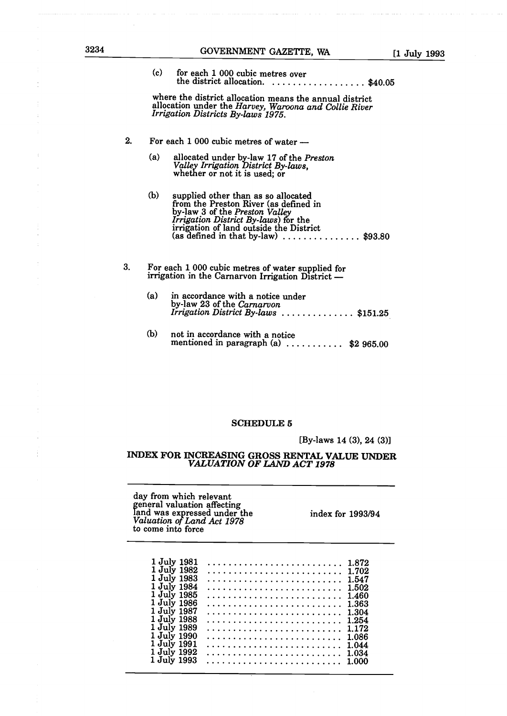| 3234 |    | GOVERNMENT GAZETTE, WA<br>$[1$ July 199                                                                                                                                                                                                                                               |
|------|----|---------------------------------------------------------------------------------------------------------------------------------------------------------------------------------------------------------------------------------------------------------------------------------------|
|      |    | (c)<br>for each 1 000 cubic metres over<br>the district allocation. $\ldots \ldots \ldots \ldots \ldots$ \$40.05                                                                                                                                                                      |
|      |    | where the district allocation means the annual district<br>allocation under the Harvey, Waroona and Collie River<br>Irrigation Districts By-laws 1975.                                                                                                                                |
|      | 2. | For each $1000$ cubic metres of water $-$                                                                                                                                                                                                                                             |
|      |    | (a)<br>allocated under by-law 17 of the Preston<br>Valley Irrigation District By-laws,<br>whether or not it is used; or                                                                                                                                                               |
|      |    | (b)<br>supplied other than as so allocated<br>from the Preston River (as defined in<br>by-law 3 of the Preston Valley<br><i>Irrigation District By-laws</i> ) for the<br>irrigation of land outside the District<br>(as defined in that by-law) $\ldots \ldots \ldots \ldots$ \$93.80 |
|      | 3. | For each 1 000 cubic metres of water supplied for<br>irrigation in the Carnarvon Irrigation District -                                                                                                                                                                                |
|      |    | (a)<br>in accordance with a notice under<br>by-law 23 of the Carnarvon<br>Irrigation District By-laws $\ldots \ldots \ldots \ldots$ \$151.25                                                                                                                                          |
|      |    |                                                                                                                                                                                                                                                                                       |

(b) not in accordance with a notice mentioned in paragraph  $(a)$  .......... \$2 965.00

# SCHEDULE *5*

[By-laws 14  $(3)$ , 24  $(3)$ ]

# INDEX FOR INCREASING GROSS RENTAL VALUE UNDER *VALUATION OF LAND ACT 1978*

day from which relevant general valuation affecting land was expressed under the index for 1993/94 *Valuation ofLand Act 1978* to come into force

| 1 July 1981                | 1.872          |
|----------------------------|----------------|
| 1 July 1982                | 1.702          |
| 1 July 1983                | 1.547          |
| 1 July 1984<br>1 July 1985 | 1.502<br>1.460 |
| 1 July 1986                | 1.363          |
| 1 July 1987                | 1.304          |
| 1 July 1988<br>1 July 1989 | 1.254<br>1.172 |
| 1 July 1990                | 1.086          |
| 1 July 1991                | 1.044          |
| 1 July 1992<br>1 July 1993 | 1.034<br>1.000 |
|                            |                |

 $\frac{1}{2}$ 

 $\bar{z}$ 

 $\frac{1}{2}$ 

÷,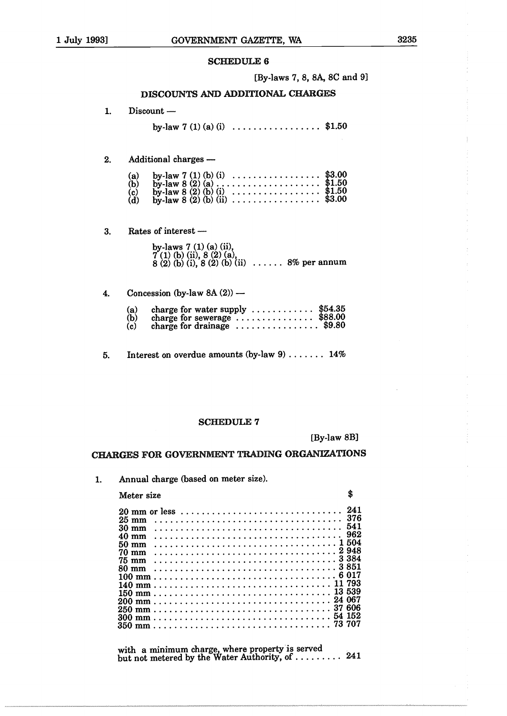[By-laws 7, 8, 8A, SC and 9]

# DISCOUNTS AND ADDITIONAL CHARGES

1. Discount -

by-law 7 (1) (a) (i)  $\ldots$  ..................\$1.50

# 2. Additional charges -

| (a)<br>(b)<br>(c)<br>(d) | by-law 7 (1) (b) (i) $\ldots$ \$3.00<br>by-law 8 (2) (b) (i) $\ldots$ \$1.50<br>by-law 8 (2) (b) (ii) $\ldots$ \$3.00 |  |  |  |  |  |  |  |  |  |  |  |  |
|--------------------------|-----------------------------------------------------------------------------------------------------------------------|--|--|--|--|--|--|--|--|--|--|--|--|
|                          |                                                                                                                       |  |  |  |  |  |  |  |  |  |  |  |  |

3. Rates of interest —

| by-laws 7 (1) (a) (ii),<br>7 (1) (b) (ii), 8 (2) (a),<br>8 (2) (b) (i), 8 (2) (b) (ii)  8% per annum |  |
|------------------------------------------------------------------------------------------------------|--|
|                                                                                                      |  |

# 4. Concession (by-law  $8A(2)$ ) —

| (a)<br>(b)<br>(c) | charge for water supply $\dots \dots \dots$ \$54.35<br>charge for sewerage $\ldots$ \$88.00<br>charge for drainage $\ldots \ldots \ldots \ldots$ \$9.80 |  |
|-------------------|---------------------------------------------------------------------------------------------------------------------------------------------------------|--|
|                   |                                                                                                                                                         |  |

5. Interest on overdue amounts (by-law  $9$ ) ...... 14%

# SCHEDULE 7

[By-law 8B]

\$

# CHARGES FOR GOVERNMENT TRADING ORGANIZATIONS

1. Annual charge (based on meter size).

# Meter size

| 20 mm or less   |  |  |  |  |  |  |  |  |  |  |  |  |  |  |  |  |  |  | -241 |
|-----------------|--|--|--|--|--|--|--|--|--|--|--|--|--|--|--|--|--|--|------|
| $25 \text{ mm}$ |  |  |  |  |  |  |  |  |  |  |  |  |  |  |  |  |  |  | 376  |
| $30 \text{ mm}$ |  |  |  |  |  |  |  |  |  |  |  |  |  |  |  |  |  |  | 541  |
| $40 \text{ mm}$ |  |  |  |  |  |  |  |  |  |  |  |  |  |  |  |  |  |  | 962  |
| $50 \text{ mm}$ |  |  |  |  |  |  |  |  |  |  |  |  |  |  |  |  |  |  |      |
| $70 \text{ mm}$ |  |  |  |  |  |  |  |  |  |  |  |  |  |  |  |  |  |  |      |
| $75 \text{ mm}$ |  |  |  |  |  |  |  |  |  |  |  |  |  |  |  |  |  |  |      |
| $80 \text{ mm}$ |  |  |  |  |  |  |  |  |  |  |  |  |  |  |  |  |  |  |      |
|                 |  |  |  |  |  |  |  |  |  |  |  |  |  |  |  |  |  |  |      |
|                 |  |  |  |  |  |  |  |  |  |  |  |  |  |  |  |  |  |  |      |
|                 |  |  |  |  |  |  |  |  |  |  |  |  |  |  |  |  |  |  |      |
|                 |  |  |  |  |  |  |  |  |  |  |  |  |  |  |  |  |  |  |      |
|                 |  |  |  |  |  |  |  |  |  |  |  |  |  |  |  |  |  |  |      |
|                 |  |  |  |  |  |  |  |  |  |  |  |  |  |  |  |  |  |  |      |
|                 |  |  |  |  |  |  |  |  |  |  |  |  |  |  |  |  |  |  |      |
|                 |  |  |  |  |  |  |  |  |  |  |  |  |  |  |  |  |  |  |      |

with a minimum charge, where property is served but not metered by the Water Authority, of  $\dots \dots$  241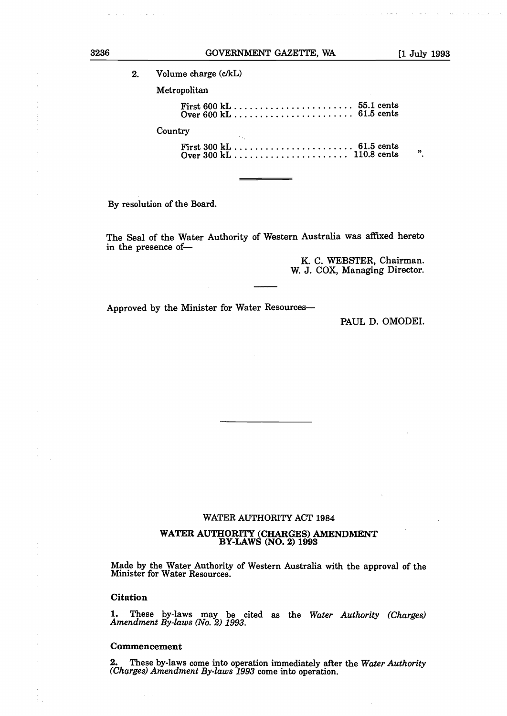| 2. | Volume charge (c/kL) |    |
|----|----------------------|----|
|    | Metropolitan         |    |
|    |                      |    |
|    | Country              |    |
|    |                      | ,, |

By resolution of the Board.

The Seal of the Water Authority of Western Australia was affixed hereto in the presence of-

> K. C. WEBSTER, Chairman. W. J. COX, Managing Director.

Approved by the Minister for Water Resources-

PAUL D. OMODEI.

#### WATER AUTHORITY ACT 1984

# **WATER AUTHORITY CHARGES** AMENDMENT **BY-LAWS NO.2 1993**

Made by the Water Authority of Western Australia with the approval of the Minister for Water Resources.

#### **Citation**

1. These by-laws may be cited as the *Water Authority Charges Amendment By-laws No.* 2 *1993.*

#### **Commencement**

2. These by-laws come into operation immediately after the *Water Authority Charges Amendment By-laws 1993* come into operation.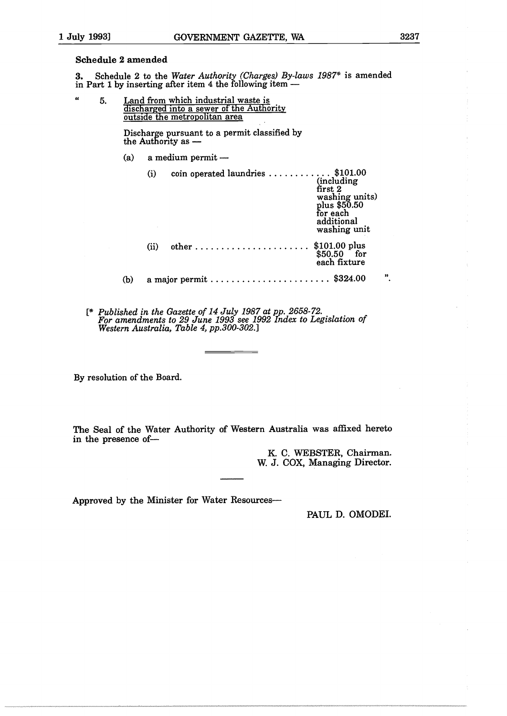# Schedule *2* amended

**3.** Schedule 2 to the *Water Authority Charges By-laws 1987\** is amended in Part <sup>1</sup> by inserting after item 4 the following item -

 $\alpha$ 5. Land from which industrial waste is discharged into a sewer of the Authority outside the metropolitan area

> Discharge pursuant to a permit classified by the Authonty as -

 $(a)$  a medium permit  $-$ 

|     | (i)  | coin operated laundries  \$101.00 | (including)<br>first <sub>2</sub><br>washing units)<br>plus \$50.50<br>for each<br>additional<br>washing unit |    |
|-----|------|-----------------------------------|---------------------------------------------------------------------------------------------------------------|----|
|     | (ii) |                                   | $$101.00$ plus<br>$$50.50$ for<br>each fixture                                                                |    |
| (b) |      |                                   |                                                                                                               | ,, |

{\* *Published in the Gazette of 14 July 1987 at pp. 2658-72. For amendments to 29 June 1993 see 1992 Index to Legislation of Western Australia, Table 4, pp.300-302.]*

By resolution of the Board.

The Seal of the Water Authority of Western Australia was affixed hereto in the presence of-

> K. C. WEBSTER, Chairman. W. J. COX, Managing Director.

Approved by the Minister for Water Resources-

PAUL D. OMODEI.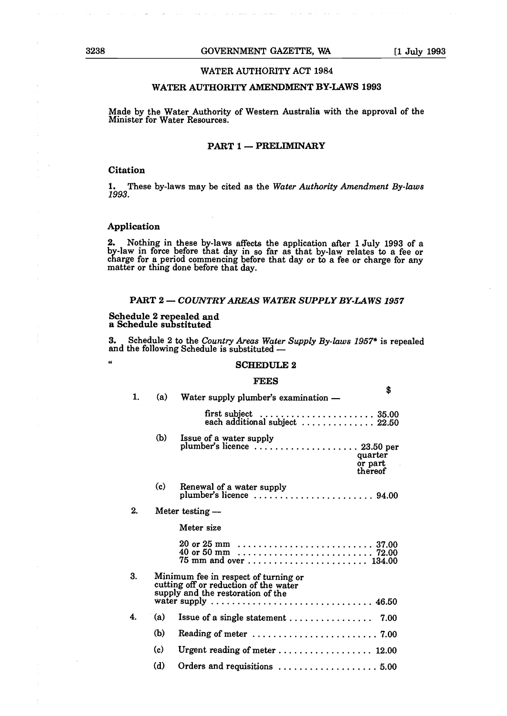# WATER AUTHORITY ACT 1984

# WATER AUTHORITY AMENDMENT BY-LAWS 1993

Made by the Water Authority of Western Australia with the approval of the Minister for Water Resources.

# PART 1 - PRELIMINARY

# Citation

1. These by-laws may be cited as the *Water Authority Amendment By-laws 1993.*

# Application

 $\boldsymbol{u}$ 

2. Nothing in these by-laws affects the application after <sup>1</sup> July 1993 of a by-law in force before that day in so far as that by-law relates to a fee or charge for a period commencing before that day or to a fee or charge for any matter or thing done before that day.

# PART 2- *COUNTRYAREAS WATER SUPPLY BY-LAWS <sup>1957</sup>*

# Schedule 2 repealed and a Schedule substituted

3. Schedule <sup>2</sup> to the *Country Areas Water Supply By-laws 1957\** is repealed and the following Schedule is substituted -

#### SCHEDULE 2

#### FEES

| (a) | Water supply plumber's examination - | 5                                                                                                                                                                                                                                                                                                                                                                                                                                                                          |
|-----|--------------------------------------|----------------------------------------------------------------------------------------------------------------------------------------------------------------------------------------------------------------------------------------------------------------------------------------------------------------------------------------------------------------------------------------------------------------------------------------------------------------------------|
|     |                                      |                                                                                                                                                                                                                                                                                                                                                                                                                                                                            |
| (b) | Issue of a water supply              |                                                                                                                                                                                                                                                                                                                                                                                                                                                                            |
| (c) | Renewal of a water supply            |                                                                                                                                                                                                                                                                                                                                                                                                                                                                            |
|     |                                      |                                                                                                                                                                                                                                                                                                                                                                                                                                                                            |
|     | Meter size                           |                                                                                                                                                                                                                                                                                                                                                                                                                                                                            |
|     |                                      |                                                                                                                                                                                                                                                                                                                                                                                                                                                                            |
|     |                                      |                                                                                                                                                                                                                                                                                                                                                                                                                                                                            |
| (a) |                                      |                                                                                                                                                                                                                                                                                                                                                                                                                                                                            |
| (b) |                                      |                                                                                                                                                                                                                                                                                                                                                                                                                                                                            |
| (c) |                                      |                                                                                                                                                                                                                                                                                                                                                                                                                                                                            |
| (d) |                                      |                                                                                                                                                                                                                                                                                                                                                                                                                                                                            |
|     |                                      | plumber's licence  23.50 per<br>quarter<br>or part<br>thereof<br>Meter testing $-$<br>75 mm and over  134.00<br>Minimum fee in respect of turning or<br>cutting off or reduction of the water<br>supply and the restoration of the<br>water supply $\ldots \ldots \ldots \ldots \ldots \ldots \ldots \ldots \ldots \ldots$ 46.50<br>Reading of meter $\dots\dots\dots\dots\dots\dots\dots\dots$ 7.00<br>Urgent reading of meter $\ldots \ldots \ldots \ldots \ldots 12.00$ |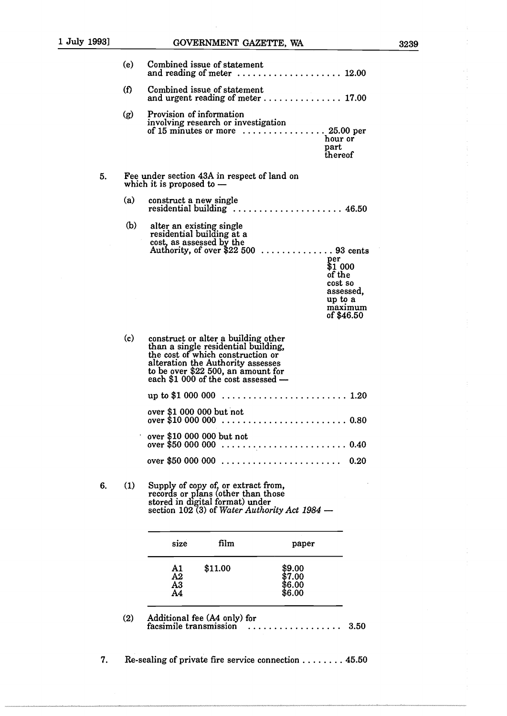|    | (e) | Combined issue of statement<br>and reading of meter $\dots\dots\dots\dots\dots$                                                                                                                                                                                                                              | $\ldots$ 12.00                                                                                                   |
|----|-----|--------------------------------------------------------------------------------------------------------------------------------------------------------------------------------------------------------------------------------------------------------------------------------------------------------------|------------------------------------------------------------------------------------------------------------------|
|    | (f) | Combined issue of statement<br>and urgent reading of meter  17.00                                                                                                                                                                                                                                            |                                                                                                                  |
|    | (g) | Provision of information<br>involving research or investigation<br>of 15 minutes or more $\dots\dots\dots\dots$                                                                                                                                                                                              | $.25.00$ per<br>hour or<br>part<br>thereof                                                                       |
| 5. |     | Fee under section 43A in respect of land on<br>which it is proposed to $-$                                                                                                                                                                                                                                   |                                                                                                                  |
|    | (a) | construct a new single<br>$residental building \ldots \ldots \ldots \ldots \ldots \ldots \ldots 46.50$                                                                                                                                                                                                       |                                                                                                                  |
|    | (b) | alter an existing single<br>residential building at a<br>cost, as assessed by the<br>Authority, of over \$22 500                                                                                                                                                                                             | $\ldots \ldots 93$ cents<br>per<br>\$1 000<br>of the<br>cost so<br>assessed,<br>up to a<br>maximum<br>of \$46.50 |
|    | (c) | construct or alter a building other<br>than a single residential building,<br>the cost of which construction or<br>alteration the Authority assesses<br>to be over \$22 500, an amount for<br>each \$1 000 of the cost assessed -<br>.<br>up to \$1 000 000<br>over \$1 000 000 but not<br>over \$10 000 000 | . 1.20<br>.0.80                                                                                                  |
|    |     | over \$10 000 000 but not<br>over \$50 000 000                                                                                                                                                                                                                                                               | 0.40                                                                                                             |
|    |     | over \$50 000 000                                                                                                                                                                                                                                                                                            | 0.20                                                                                                             |
| 6. | (1) | Supply of copy of, or extract from,<br>records or plans (other than those<br>stored in digital format) under<br>section 102 (3) of Water Authority Act 1984 $-$                                                                                                                                              |                                                                                                                  |
|    |     | film<br>size<br>paper                                                                                                                                                                                                                                                                                        |                                                                                                                  |
|    |     | A1<br>\$11.00<br>\$9.00<br>A2<br>\$7.00<br>A3<br>\$6.00<br>A4<br>\$6.00                                                                                                                                                                                                                                      |                                                                                                                  |
|    | (2) | Additional fee (A4 only) for<br>facsimile transmission                                                                                                                                                                                                                                                       | 3.50                                                                                                             |

7. Re-sealing of private fire service connection  $\dots \dots$  45.50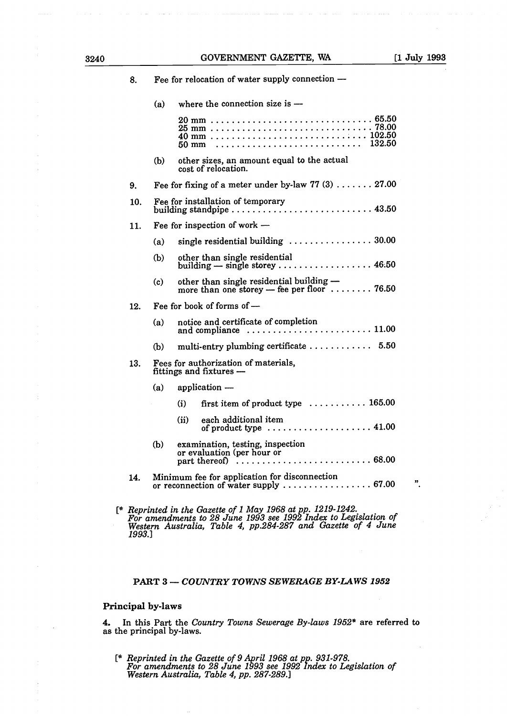| 8.  |     | Fee for relocation of water supply connection -                                         |
|-----|-----|-----------------------------------------------------------------------------------------|
|     | (a) | where the connection size is $-$                                                        |
|     |     | 132.50<br>$50 \text{ mm}$                                                               |
|     | (b) | other sizes, an amount equal to the actual<br>cost of relocation.                       |
| 9.  |     | Fee for fixing of a meter under by-law 77 $(3)$ 27.00                                   |
| 10. |     | Fee for installation of temporary<br>building standpipe  43.50                          |
| 11. |     | Fee for inspection of work $-$                                                          |
|     | (a) | single residential building $\ldots \ldots \ldots \ldots \ldots 30.00$                  |
|     | (b) | other than single residential<br>building $-$ single storey  46.50                      |
|     | (c) | other than single residential building -<br>more than one storey - fee per floor  76.50 |
| 12. |     | Fee for book of forms of -                                                              |
|     | (a) | notice and certificate of completion<br>and compliance  11.00                           |
|     | (b) | multi-entry plumbing certificate  5.50                                                  |
| 13. |     | Fees for authorization of materials,<br>fittings and fixtures -                         |
|     | (a) | application —                                                                           |
|     |     | first item of product type  165.00<br>(i)                                               |
|     |     | each additional item<br>(ii)<br>of product type  41.00                                  |
|     | (b) | examination, testing, inspection<br>or evaluation (per hour or                          |
| 14. |     | Minimum fee for application for disconnection<br>or reconnection of water supply  67.00 |
|     |     |                                                                                         |

[\* Reprinted in the Gazette of 1 May 1968 at pp. 1219-1242.<br>For amendments to 28 June 1993 see 1992 Index to Legislation of *Western Australia, Table 4, pp.284-287 and Gazette of 4 June 1993.]*

# PART 3- *COUNTRY TOWNS SEWERAGE BY-LAWS <sup>1952</sup>*

# Principal by-laws

4. In this Part the *Country Towns Sewerage By-laws 1952\** are referred to as the principal by-laws.

[\* *Reprinted in the Gazette of 9 April <sup>1968</sup> at pp. 931-978. For amendments to 28 June 1993 see 1992 Index to Legislation of Western Australia, Table 4, pp. 287-289.]*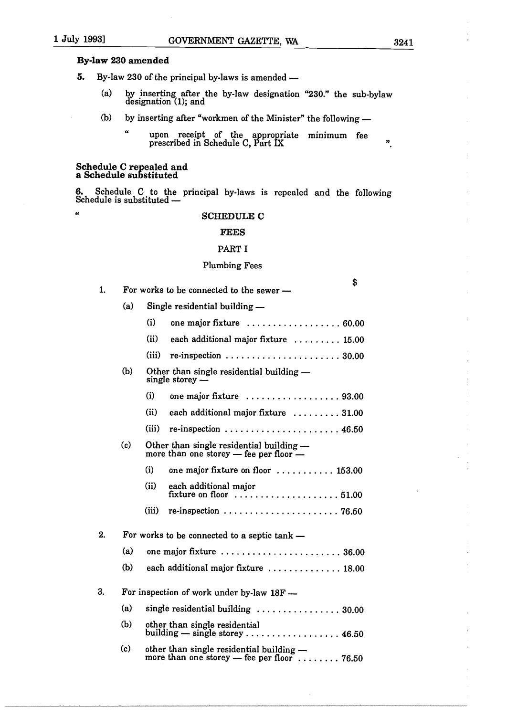$\epsilon$ 

# By-law 230 amended

- 5. By-law 230 of the principal by-laws is amended
	- (a) by inserting after the by-law designation "230." the sub-bylav designation (1); and
	- (b) by inserting after "workmen of the Minister" the following  $-$ 
		- " upon receipt of the appropriate minimum fee prescribed in Schedule C, Part LX

#### Schedule C repealed and a Schedule substituted

Schedule C to the principal by-laws is repealed and the following Schedule is substituted -

#### SCHEDULE C

# FEES

#### PART I

#### Plumbing Fees

\$ 1. For works to be connected to the sewer  $(a)$  Single residential building  $(i)$  one major fixture  $\ldots \ldots \ldots \ldots \ldots 60.00$ (ii) each additional major fixture  $\ldots \ldots \ldots$  15.00  $(iii)$  re-inspection  $\ldots \ldots \ldots \ldots \ldots \ldots \ldots$  30.00 (b) Other than single residential building  $$ single storey -  $(i)$  one major fixture  $\dots\dots\dots\dots\dots93.00$ (ii) each additional major fixture  $\ldots \ldots 31.00$ (iii) re-inspection  $\ldots \ldots \ldots \ldots \ldots \ldots \ldots$  46.50  $(c)$  Other than single residential building  $$ more than one storey  $-$  fee per floor  $(i)$  one major fixture on floor  $\dots\dots\dots\dots$  153.00 (ii) each additional major fixture on floor  $\dots\dots\dots\dots\dots\dots 51.00$ (iii) re-inspection  $\ldots \ldots \ldots \ldots \ldots \ldots \ldots$  76.50 2. For works to be connected to a septic  $tanh$  -(a) one major fixture  $\ldots$ ,  $\ldots$ ,  $\ldots$ ,  $\ldots$ ,  $36.00$ (b) each additional major fixture  $\ldots \ldots \ldots \ldots 18.00$ 3. For inspection of work under by-law  $18F -$ (a) single residential building  $\ldots \ldots \ldots \ldots \ldots 30.00$ (b) other than single residential building  $-$  single storey  $\ldots \ldots \ldots \ldots \ldots 46.50$ c) other than single residential building more than one storey — fee per floor  $\dots \dots$  76.50

Ħ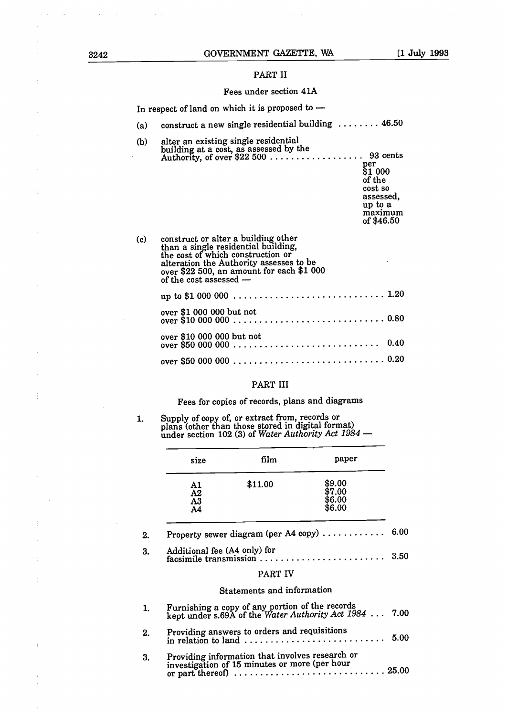# PART II

# Fees under section 41A

|     | In respect of land on which it is proposed to $-$                                                                                                                                                                                 |
|-----|-----------------------------------------------------------------------------------------------------------------------------------------------------------------------------------------------------------------------------------|
| (a) | construct a new single residential building $\dots \dots \dots$ 46.50                                                                                                                                                             |
| (b) | alter an existing single residential<br>per<br>\$1 000<br>of the<br>cost so<br>assessed,<br>up to a<br>maximum<br>of \$46.50                                                                                                      |
| (c) | construct or alter a building other<br>than a single residential building,<br>the cost of which construction or<br>alteration the Authority assesses to be<br>over \$22 500, an amount for each \$1 000<br>of the cost assessed - |
|     |                                                                                                                                                                                                                                   |
|     | over \$1 000 000 but not                                                                                                                                                                                                          |
|     | over \$10 000 000 but not                                                                                                                                                                                                         |
|     |                                                                                                                                                                                                                                   |

# PART III

Fees for copies of records, plans and diagrams

# $\mathbf{1}$ . Supply of copy of, or extract from, records or plans (other than those stored in digital format)<br>under section 102 (3) of *Water Authority Act* 1984

| size                                                    | film                                         | paper                                                                                                     |
|---------------------------------------------------------|----------------------------------------------|-----------------------------------------------------------------------------------------------------------|
| A1<br>A2<br>A3<br>A <sub>4</sub>                        | \$11.00                                      | \$9.00<br>\$7.00<br>\$6.00<br>\$6.00                                                                      |
|                                                         |                                              | Property sewer diagram (per A4 copy)                                                                      |
| Additional fee (A4 only) for<br>facsimile transmission. |                                              |                                                                                                           |
|                                                         | PART IV                                      |                                                                                                           |
|                                                         | Statements and information                   |                                                                                                           |
|                                                         |                                              | Furnishing a copy of any portion of the records<br>kept under s.69A of the Water Authority Act 1984  7.00 |
|                                                         | Providing answers to orders and requisitions | in relation to land                                                                                       |

3. Providing information that involves research or investigation of 15 minutes or more (per hour or part thereof)  $\ldots$   $\ldots$   $\ldots$   $\ldots$   $\ldots$   $\ldots$   $\ldots$   $\ldots$   $\ldots$   $\ldots$   $\ldots$   $\ldots$   $\ldots$   $\ldots$   $\ldots$   $\ldots$   $\ldots$   $\ldots$   $\ldots$   $\ldots$   $\ldots$   $\ldots$   $\ldots$ 

÷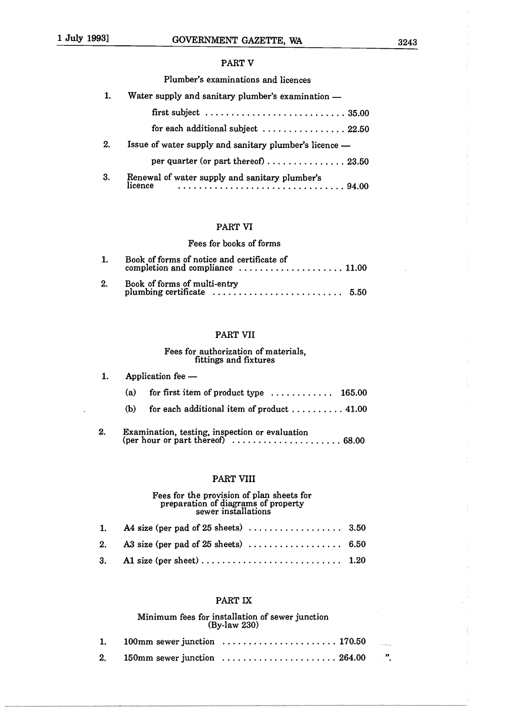# PART V

# Plumber's examinations and licences

|    | Water supply and sanitary plumber's examination -                                    |
|----|--------------------------------------------------------------------------------------|
|    | first subject $\ldots \ldots \ldots \ldots \ldots \ldots \ldots \ldots \ldots 35.00$ |
|    | for each additional subject $\ldots \ldots \ldots \ldots 22.50$                      |
| 2. | Issue of water supply and sanitary plumber's licence -                               |
|    | per quarter (or part thereof) $\ldots \ldots \ldots \ldots \ldots$ 23.50             |
| 3. | Renewal of water supply and sanitary plumber's<br>licence                            |

# PART VI

# Fees for books of forms

|    | Book of forms of notice and certificate of<br>completion and compliance $\ldots \ldots \ldots \ldots \ldots \ldots$ 11.00 |  |
|----|---------------------------------------------------------------------------------------------------------------------------|--|
| 2. |                                                                                                                           |  |

# PART WI

# Fees for authorization of materials, fittings and fixtures

| $\mathbf{1}$ |     | Application fee —                                                                                                     |
|--------------|-----|-----------------------------------------------------------------------------------------------------------------------|
|              | (a) | for first item of product type $\dots \dots \dots \dots$ 165.00                                                       |
|              | (b) | for each additional item of product $\ldots \ldots \ldots$ 41.00                                                      |
| 2.           |     | Examination, testing, inspection or evaluation<br>(per hour or part thereof) $\dots\dots\dots\dots\dots\dots$ . 68.00 |

# PART VIII

# Fees for the provision of plan sheets for preparation of diagrams of property sewer installations

| 3. Al size (per sheet) $\ldots$ $\ldots$ $\ldots$ $\ldots$ $\ldots$ $\ldots$ $\ldots$ $\ldots$ 1.20 |  |
|-----------------------------------------------------------------------------------------------------|--|

# PART IX

# Minimum fees for installation of sewer junction By-law 230

|  | 2. 150mm sewer junction $\ldots \ldots \ldots \ldots \ldots \ldots \ldots 264.00$ ". |  |
|--|--------------------------------------------------------------------------------------|--|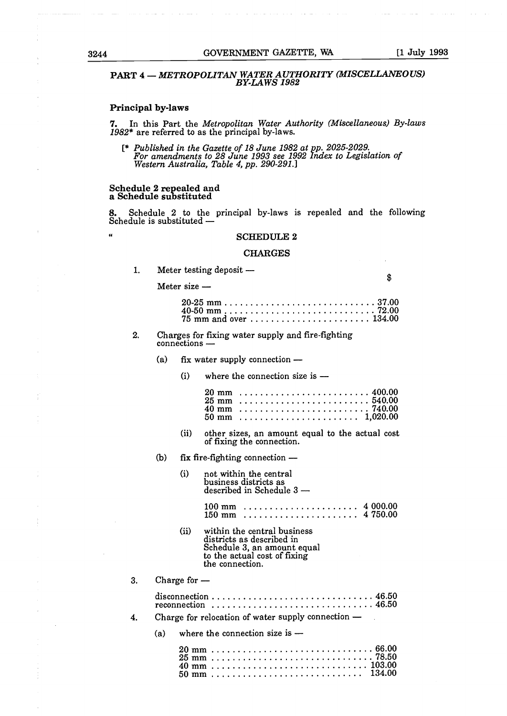$\sim 10^{-1}$  and

# PART 4- *METROPOLITAN WATER AUTHORITY MISCELLANEOUS BY-LAWS 1982*

# Principal by-laws

7. In this Part the *Metropolitan Water Authority Miscellaneous By-laws 1982\** are referred to as the principal by-laws.

[\* *Published in the Gazette of 18 June 1982 at pp. 2025-2029. For amendments to 28 June 1993 see 1992 Index to Legislation of Western Australia, Table 4, pp. 290-291.]*

# Schedule *2* repealed and a Schedule substituted

8. Schedule 2 to the principal by-laws is repealed and the following Schedule is substituted -

# " SCHEDULE 2

#### CHARGES

1. Meter testing deposit  $-$ 

Meter size  $-$ 

 $\hat{\mathbf{s}}$ 

| 75 mm and over  134.00 |  |  |  |  |  |  |  |  |  |  |  |  |  |
|------------------------|--|--|--|--|--|--|--|--|--|--|--|--|--|

- 2. Charges for fixing water supply and fire-fighting connections -
	- (a) fix water supply connection  $-$ 
		- $(i)$  where the connection size is  $-$

- (ii) other sizes, an amount equal to the actual cost of fixing the connection.
- (b) fix fire-fighting connection  $-$ 
	- (i) not within the central business districts as described in Schedule 3 -
		- 100 mm 4 000.00 150 mm 4 750.00
	- (ii) within the central business districts as described in Schedule 3, an amount equal to the actual cost of fixing the connection.

3. Charge for —

| reconnection  46.50                                  |
|------------------------------------------------------|
| Charge for relocation of water supply connection $-$ |

(a) where the connection size is  $-$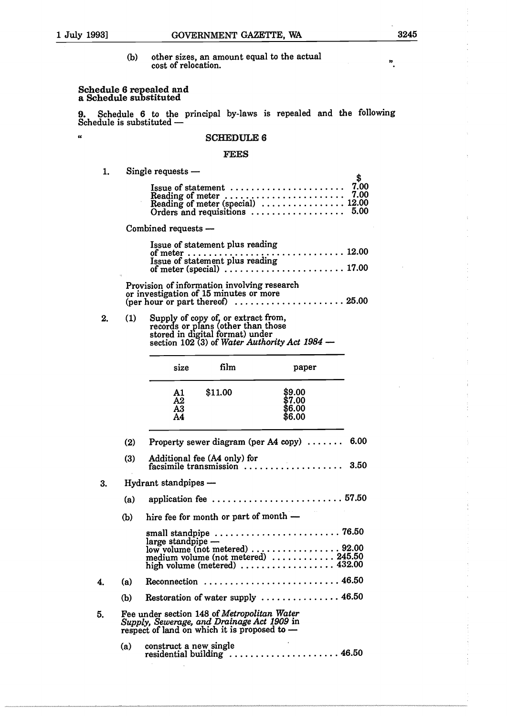$\alpha$ 

 $\ddot{\phantom{0}}$ 

 $\mathbf{A}$ 

(b) other sizes, an amount equal to the actual cost of relocation.

# Schedule 6 repealed and a Schedule substituted

9. Schedule 6 to the principal by-laws is repealed and the following Schedule is substituted -

# SCHEDULE 6

# FEES

1. Single requests

| Issue of statement $\ldots \ldots \ldots \ldots \ldots \ldots$ 7.00<br>Reading of meter<br>Reading of meter (special)<br>Orders and requisitions<br>Critics and requisitions<br>Critics and requisitions<br>Critics and requisitions<br>Critics and requisitions<br>Critics by the base of the base of the base of the bas | Φ |
|----------------------------------------------------------------------------------------------------------------------------------------------------------------------------------------------------------------------------------------------------------------------------------------------------------------------------|---|
| Combined requests -                                                                                                                                                                                                                                                                                                        |   |
| Issue of statement plus reading                                                                                                                                                                                                                                                                                            |   |
| Provision of information involving research<br>or investigation of 15 minutes or more                                                                                                                                                                                                                                      |   |

2. (1) Supply of copy of, or extract from, records or plans (other than those stored in digital format) under<br>section 102 (3) of *Water Authority Act 1984* -

| size                                  | film    | paper                                |
|---------------------------------------|---------|--------------------------------------|
| A1<br>$\overline{\rm A2}$<br>A3<br>A4 | \$11.00 | \$9.00<br>\$7.00<br>\$6.00<br>\$6.00 |

|    | (2) | Property sewer diagram (per A4 copy) $\ldots \ldots$ 6.00                                                                                                            |
|----|-----|----------------------------------------------------------------------------------------------------------------------------------------------------------------------|
|    | (3) | Additional fee (A4 only) for<br>facsimile transmission<br>3.50                                                                                                       |
| 3. |     | Hydrant standpipes -                                                                                                                                                 |
|    | (a) |                                                                                                                                                                      |
|    | (b) | hire fee for month or part of month —                                                                                                                                |
|    |     | $large$ standpipe $-$<br>low volume (not metered)  92.00<br>medium volume (not metered)  245.50<br>high volume (metered) $\ldots \ldots \ldots \ldots \ldots$ 432.00 |
| 4. | (a) | Reconnection  46.50                                                                                                                                                  |
|    | (b) | Restoration of water supply  46.50                                                                                                                                   |
| 5. |     | Fee under section 148 of Metropolitan Water<br>Supply, Sewerage, and Drainage Act 1909 in<br>respect of land on which it is proposed to $-$                          |
|    | (a) | construct a new single<br>residential building  46.50                                                                                                                |

 $\mathcal{L}$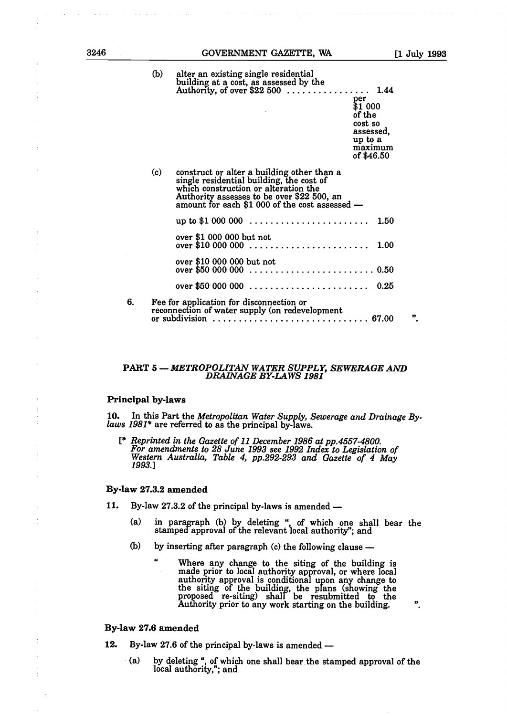$\pmb{\mathcal{D}}$ 

(b) alter an existing single residential building at a cost, as assessed by the Authority, of over \$22 500 *1.44*

per \$1 000 of the cost so assessed, up to a maximum of \$46.50

|    | (c) | construct or alter a building other than a<br>single residential building, the cost of<br>which construction or alteration the<br>Authority assesses to be over \$22 500, an<br>amount for each \$1 000 of the cost assessed — |  |  |  |
|----|-----|--------------------------------------------------------------------------------------------------------------------------------------------------------------------------------------------------------------------------------|--|--|--|
|    |     | up to \$1 000 000<br>1.50                                                                                                                                                                                                      |  |  |  |
|    |     | over \$1 000 000 but not<br>1.00                                                                                                                                                                                               |  |  |  |
|    |     | over \$10 000 000 but not                                                                                                                                                                                                      |  |  |  |
|    |     | over \$50 000 000  0.25                                                                                                                                                                                                        |  |  |  |
| 6. |     | Fee for application for disconnection or<br>reconnection of water supply (on redevelopment<br>33                                                                                                                               |  |  |  |

#### PART 5- *METROPOLITAN WATER SUPPLY, SEWERAGE AND DRAINAGE BY-LAWS 1981*

# Principal by-laws

10. In this Part the *Metropolitan Water Supply, Sewerage and Drainage By laws 1981\** are referred to as the principal by-laws.

[\* *Reprinted in the Gazette of <sup>11</sup> December 1986 at pp.4557-4800. For amendments to 28 June 1993 see 1992 Index to Legislation of Australia, Table 4, pp.292-293 and Gazette of 4 May* 1993.]

#### By-law 27.3.2 amended

 $\alpha$ 

- 11. By-law 27.3.2 of the principal by-laws is amended -
	- (a) in paragraph (b) by deleting ", of which one shall bear the stamped approval of the relevant local authority"; and
	- (b) by inserting after paragraph (c) the following clause  $-$ 
		- Where any change to the siting of the building is made prior to local authority approval, or where local authority approval is conditional upon any change to the siting of the building, the plans (showing the proposed re-siting) shall be resubmitted to the Authority prior to any work starting on the building.

# By-law 27.6 amended

- 12. By-law 27.6 of the principal by-laws is amended
	- (a) by deleting", of which one shall bear the stamped approval of the local authority,"; and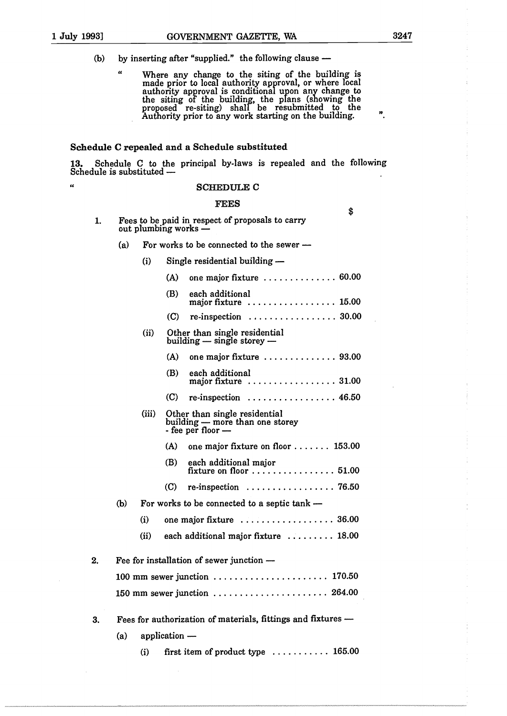$\overline{\phantom{a}}$ 

 $\alpha$ 

\$

- (b) by inserting after "supplied." the following clause  $-$ 
	- Where any change to the siting of the building is made prior to local authority approval, or where local authority approval is conditional upon any change to the siting of the building, the plans (showing the proposed re-siting) shall be resubmitted to the Authority prior to any work starting on the building.

# Schedule C repealed and a Schedule substituted

13. Schedule C to the principal by-laws is repealed and the following Schedule is substituted -

#### SCHEDULE C

#### **FEES**

- Fees to be paid in respect of proposals to carry  $\mathbf{1}$ out plumbing works -
	- (a) For works to be connected to the sewer  $-$
- $(i)$  Single residential building  $(A)$  one major fixture  $\ldots \ldots \ldots \ldots \ldots 60.00$ (B) each additional major fixture ................... 15.00  $(C)$  re-inspection  $\ldots \ldots \ldots \ldots \ldots$  30.00 (ii) Other than single residential  $building - single storey (A)$  one major fixture  $\ldots \ldots \ldots \ldots$  93.00 (B) each additional major fixture ................... 31.00  $(C)$  re-inspection  $\ldots \ldots \ldots \ldots \ldots$  46.50 (iii) Other than single residential building - more than one storey - fee per floor - (A) one major fixture on floor  $\dots$ . 153.00 (B) each additional major fixture on floor  $\dots\dots\dots\dots\dots 51.00$ C re-inspection 76.50 (b) For works to be connected to a septic  $tanh$  -- $(i)$  one major fixture  $\ldots \ldots \ldots \ldots \ldots$  36.00  $(ii)$  each additional major fixture  $\ldots \ldots \ldots$  18.00 2. Fee for installation of sewer junction -100 mm sewer junction ........................... 170.50 150 mm sewer junction  $\ldots \ldots \ldots \ldots \ldots \ldots$  264.00 3. Fees for authorization of materials, fittings and fixtures - $(a)$  application —
	- (i) first item of product type  $\dots \dots \dots \dots 165.00$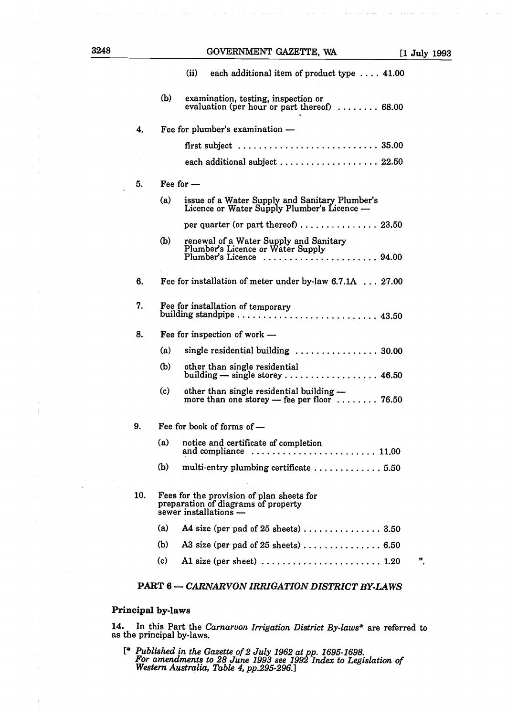| 3248 |     |     | GOVERNMENT GAZETTE, WA                                                                                                 | [1 July 199: |
|------|-----|-----|------------------------------------------------------------------------------------------------------------------------|--------------|
|      |     |     | (ii)<br>each additional item of product type $\ldots$ 41.00                                                            |              |
|      |     | (b) | examination, testing, inspection or<br>evaluation (per hour or part thereof) $\ldots \ldots \ldots$ 68.00              |              |
|      | 4.  |     | Fee for plumber's examination -                                                                                        |              |
|      |     |     | first subject $\dots \dots \dots \dots \dots \dots \dots \dots \dots \dots 35.00$                                      |              |
|      |     |     | each additional subject  22.50                                                                                         |              |
|      | 5.  |     | Fee for $-$                                                                                                            |              |
|      |     | (a) | issue of a Water Supply and Sanitary Plumber's<br>Licence or Water Supply Plumber's Licence -                          |              |
|      |     |     | per quarter (or part thereof)  23.50                                                                                   |              |
|      |     | (b) | renewal of a Water Supply and Sanitary<br>Plumber's Licence or Water Supply<br>Plumber's Licence  94.00                |              |
|      | 6.  |     | Fee for installation of meter under by-law 6.7.1A  27.00                                                               |              |
|      | 7.  |     | Fee for installation of temporary                                                                                      |              |
|      | 8.  |     | Fee for inspection of work $-$                                                                                         |              |
|      |     | (a) | single residential building  30.00                                                                                     |              |
|      |     | (b) | other than single residential<br>building $-$ single storey  46.50                                                     |              |
|      |     | (c) | other than single residential building -<br>more than one storey $-$ fee per floor $\dots \dots$ 76.50                 |              |
|      | 9.  |     | Fee for book of forms of -                                                                                             |              |
|      |     | (a) | notice and certificate of completion<br>and compliance $\ldots \ldots \ldots \ldots \ldots \ldots \ldots \ldots 11.00$ |              |
|      |     | (b) | multi-entry plumbing certificate  5.50                                                                                 |              |
|      | 10. |     | Fees for the provision of plan sheets for<br>preparation of diagrams of property<br>sewer installations -              |              |
|      |     | (a) |                                                                                                                        |              |
|      |     | (b) | A3 size (per pad of 25 sheets) $\ldots \ldots \ldots \ldots$ 6.50                                                      |              |
|      |     | (c) |                                                                                                                        | "            |
|      |     |     | TION IDDIC IMION DICHOVER WY                                                                                           |              |

# PART 6- *CARNARVON IRRIGATION DISTRICT BY-LAWS*

# Principal by-laws

المتعاون المتعاونات المتماري

 $\mathcal{L}_{\mathcal{A}}$  $\sim 10^{11}$  km s  $^{-1}$  $\overline{\phantom{a}}$ 

 $\overline{z}$ 

 $\frac{1}{2}$ 

 $\frac{1}{2}$ 

 $\bar{\phantom{a}}$ 

÷,

 $\mathcal{A}(\mathbf{x})$  , and  $\mathcal{A}(\mathbf{x})$ 

 $\Delta\omega$  . The second contract  $\omega$ 

 $\bar{\chi}$  ,  $\bar{\chi}$ 

 $\omega$  ,  $\omega$  ,  $\omega$  ,  $\omega$  , and  $\omega$ 

is.<br>Santa

a cons

 $\bar{\bar{z}}$ 

14. In this Part the *Carnarvon Irrigation District Bylaws\** are referred to as the principal by-laws.

*[\* Published in the Gazette of 2 July <sup>1962</sup> at pp. 1695-1698. For amendments to 28 June 1993 see 1992 Index to Legislation of Western Australia, Table 4, pp.295-296.]*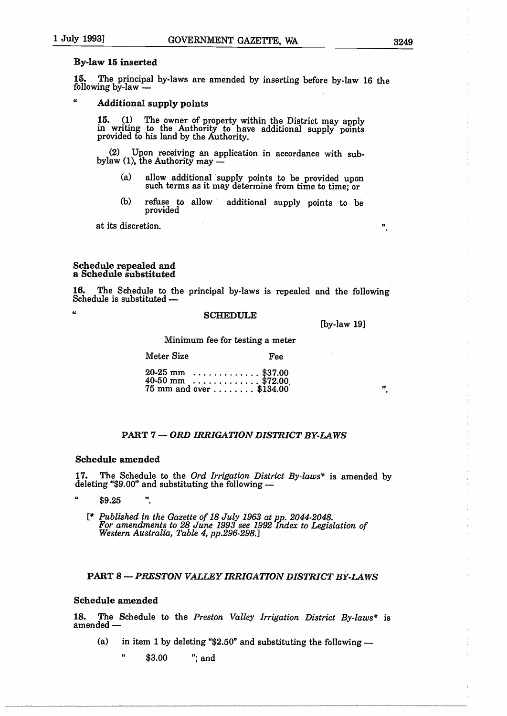# By-law 15 inserted

15. The principal by-laws are amended by inserting before by-law 16 the following  $b\bar{y}$ -law  $-$ 

#### $\mu$ Additional supply points

15. (1) The owner of property within the District may apply in writing to the Authority to have additional supply points provided to his land by the Authority.

Upon receiving an application in accordance with subbylaw (1), the Authority may -

- (a) allow additional supply points to be provided upon such terms as it may determine from time to time; or
- (b) refuse to allow additional supply points to be provided

at its discretion.

### Schedule repealed and a Schedule substituted

16. The Schedule to the principal by-laws is repealed and the following Schedule is substituted -

 $\overline{a}$ 

#### SCHEDULE

[by-law 19]

Minimum fee for testing a meter

Meter Size Fee

 $20-25$  mm  $\ldots$ ...........\$37.00<br>40-50 mm  $\ldots$ ..........\$72.00  $40-50$  mm  $\ldots$   $\ldots$   $\ldots$   $\frac{105}{200}$ 75 mm and over \$134.00 ".

# PART 7- *ORD IRRIGATION DISTRICT BY-LAWS*

#### Schedule amended

 $\boldsymbol{v}$ 

17. The Schedule to the *Ord Irrigation District Bylaws\** is amended by deleting " $$9.00"$  and substituting the following -

**"** \$9.25

[\* *Published in the Gazette of 18 July 1963 at pp. 2044-2048. For amendments to 28 June 1993 see 1992 Index to Legislation of Western Australia, Table 4, pp.296-298.]*

# PART 8- *PRESTON VALTEY IRRIGATION DISTRICT BY-LAWS*

# Schedule amended

18. The Schedule to the *Preston Valley Irrigation District Bylaws\** is amended -

- (a) in item 1 by deleting " $$2.50"$  and substituting the following -
	- **"** \$3.00 "; and

 $\boldsymbol{n}$